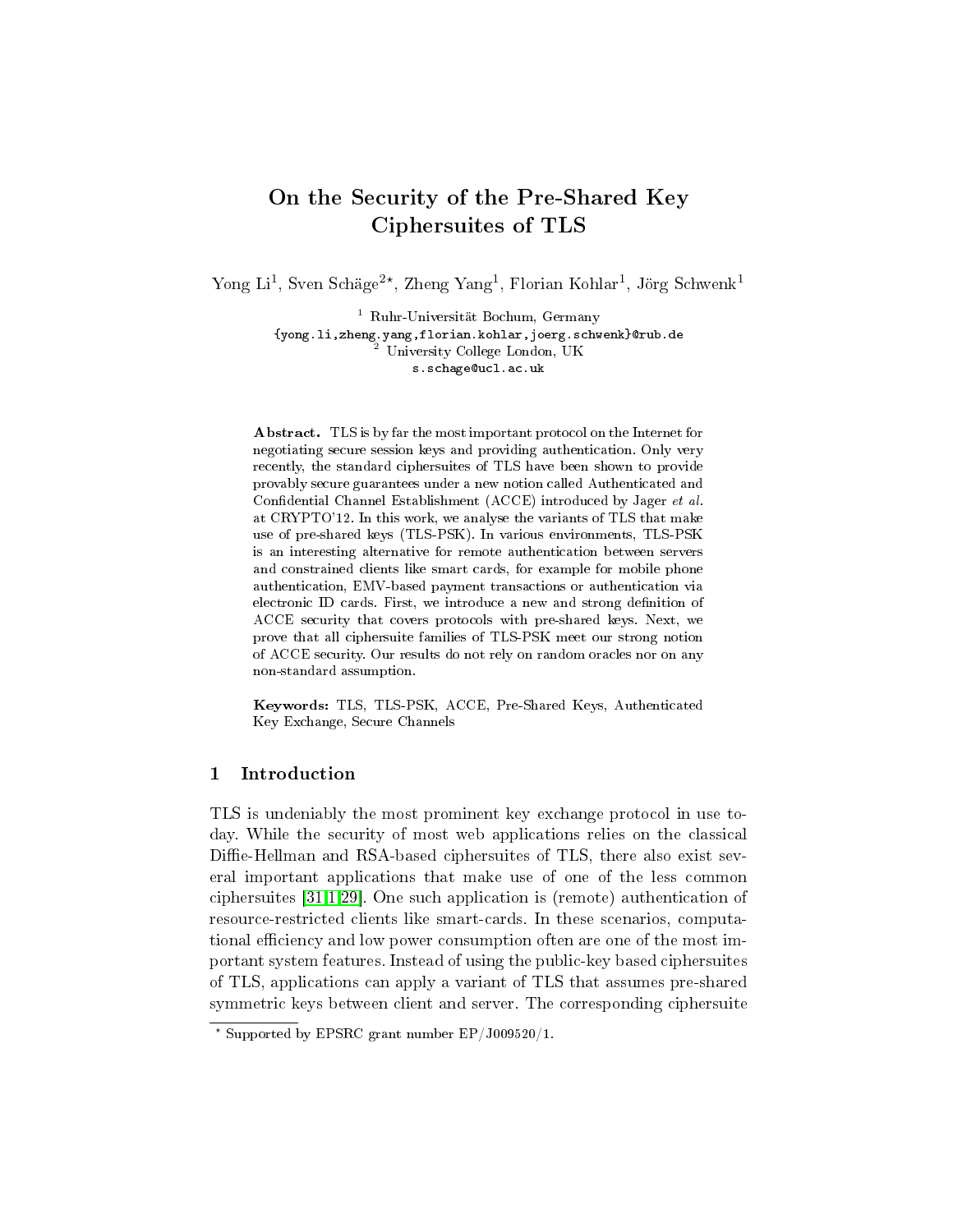# On the Security of the Pre-Shared Key Ciphersuites of TLS

Yong Li<sup>1</sup>, Sven Schäge<sup>2\*</sup>, Zheng Yang<sup>1</sup>, Florian Kohlar<sup>1</sup>, Jörg Schwenk<sup>1</sup>

<sup>1</sup> Ruhr-Universität Bochum, Germany {yong.li,zheng.yang,florian.kohlar,joerg.schwenk}@rub.de <sup>2</sup> University College London, UK s.schage@ucl.ac.uk

Abstract. TLS is by far the most important protocol on the Internet for negotiating secure session keys and providing authentication. Only very recently, the standard ciphersuites of TLS have been shown to provide provably secure guarantees under a new notion called Authenticated and Confidential Channel Establishment (ACCE) introduced by Jager et al. at CRYPTO'12. In this work, we analyse the variants of TLS that make use of pre-shared keys (TLS-PSK). In various environments, TLS-PSK is an interesting alternative for remote authentication between servers and constrained clients like smart cards, for example for mobile phone authentication, EMV-based payment transactions or authentication via electronic ID cards. First, we introduce a new and strong definition of ACCE security that covers protocols with pre-shared keys. Next, we prove that all ciphersuite families of TLS-PSK meet our strong notion of ACCE security. Our results do not rely on random oracles nor on any non-standard assumption.

Keywords: TLS, TLS-PSK, ACCE, Pre-Shared Keys, Authenticated Key Exchange, Secure Channels

#### 1 Introduction

TLS is undeniably the most prominent key exchange protocol in use today. While the security of most web applications relies on the classical Diffie-Hellman and RSA-based ciphersuites of TLS, there also exist several important applications that make use of one of the less common ciphersuites [\[31,](#page-17-0)[1](#page-16-0)[,29\]](#page-17-1). One such application is (remote) authentication of resource-restricted clients like smart-cards. In these scenarios, computational efficiency and low power consumption often are one of the most important system features. Instead of using the public-key based ciphersuites of TLS, applications can apply a variant of TLS that assumes pre-shared symmetric keys between client and server. The corresponding ciphersuite

<sup>\*</sup> Supported by EPSRC grant number  $EP/J009520/1$ .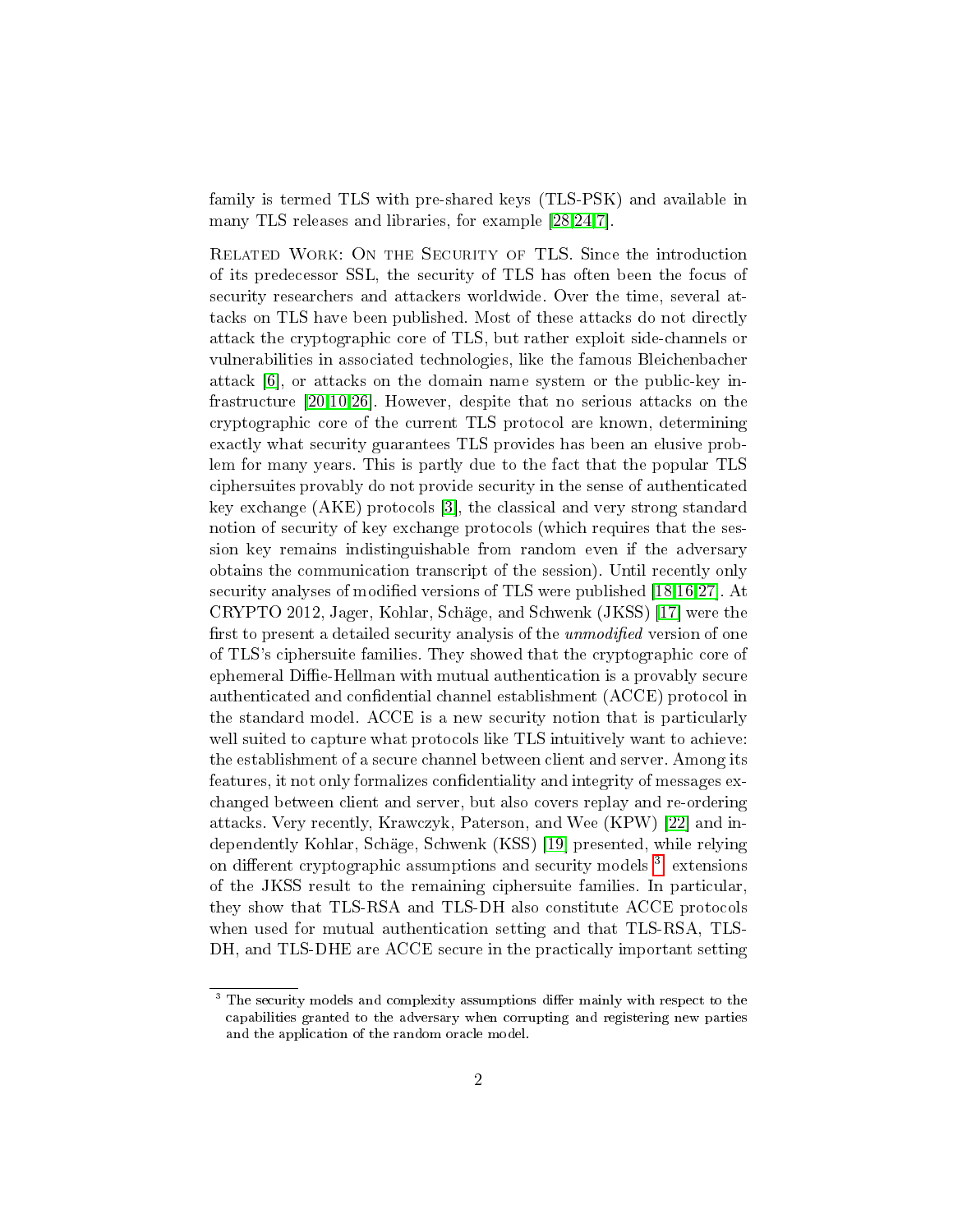family is termed TLS with pre-shared keys (TLS-PSK) and available in many TLS releases and libraries, for example [\[28,](#page-17-2)[24](#page-17-3)[,7\]](#page-16-1).

Related Work: On the Security of TLS. Since the introduction of its predecessor SSL, the security of TLS has often been the focus of security researchers and attackers worldwide. Over the time, several attacks on TLS have been published. Most of these attacks do not directly attack the cryptographic core of TLS, but rather exploit side-channels or vulnerabilities in associated technologies, like the famous Bleichenbacher attack [\[6\]](#page-16-2), or attacks on the domain name system or the public-key infrastructure [\[20](#page-17-4)[,10](#page-16-3)[,26\]](#page-17-5). However, despite that no serious attacks on the cryptographic core of the current TLS protocol are known, determining exactly what security guarantees TLS provides has been an elusive problem for many years. This is partly due to the fact that the popular TLS ciphersuites provably do not provide security in the sense of authenticated key exchange (AKE) protocols [\[3\]](#page-16-4), the classical and very strong standard notion of security of key exchange protocols (which requires that the session key remains indistinguishable from random even if the adversary obtains the communication transcript of the session). Until recently only security analyses of modified versions of TLS were published [\[18,](#page-17-6)[16,](#page-17-7)[27\]](#page-17-8). At CRYPTO 2012, Jager, Kohlar, Schäge, and Schwenk (JKSS) [\[17\]](#page-17-9) were the first to present a detailed security analysis of the *unmodified* version of one of TLS's ciphersuite families. They showed that the cryptographic core of ephemeral Diffie-Hellman with mutual authentication is a provably secure authenticated and confidential channel establishment (ACCE) protocol in the standard model. ACCE is a new security notion that is particularly well suited to capture what protocols like TLS intuitively want to achieve: the establishment of a secure channel between client and server. Among its features, it not only formalizes confidentiality and integrity of messages exchanged between client and server, but also covers replay and re-ordering attacks. Very recently, Krawczyk, Paterson, and Wee (KPW) [\[22\]](#page-17-10) and independently Kohlar, Schäge, Schwenk (KSS) [\[19\]](#page-17-11) presented, while relying on different cryptographic assumptions and security models <sup>[3](#page-1-0)</sup>, extensions of the JKSS result to the remaining ciphersuite families. In particular, they show that TLS-RSA and TLS-DH also constitute ACCE protocols when used for mutual authentication setting and that TLS-RSA, TLS-DH, and TLS-DHE are ACCE secure in the practically important setting

<span id="page-1-0"></span> $3$  The security models and complexity assumptions differ mainly with respect to the capabilities granted to the adversary when corrupting and registering new parties and the application of the random oracle model.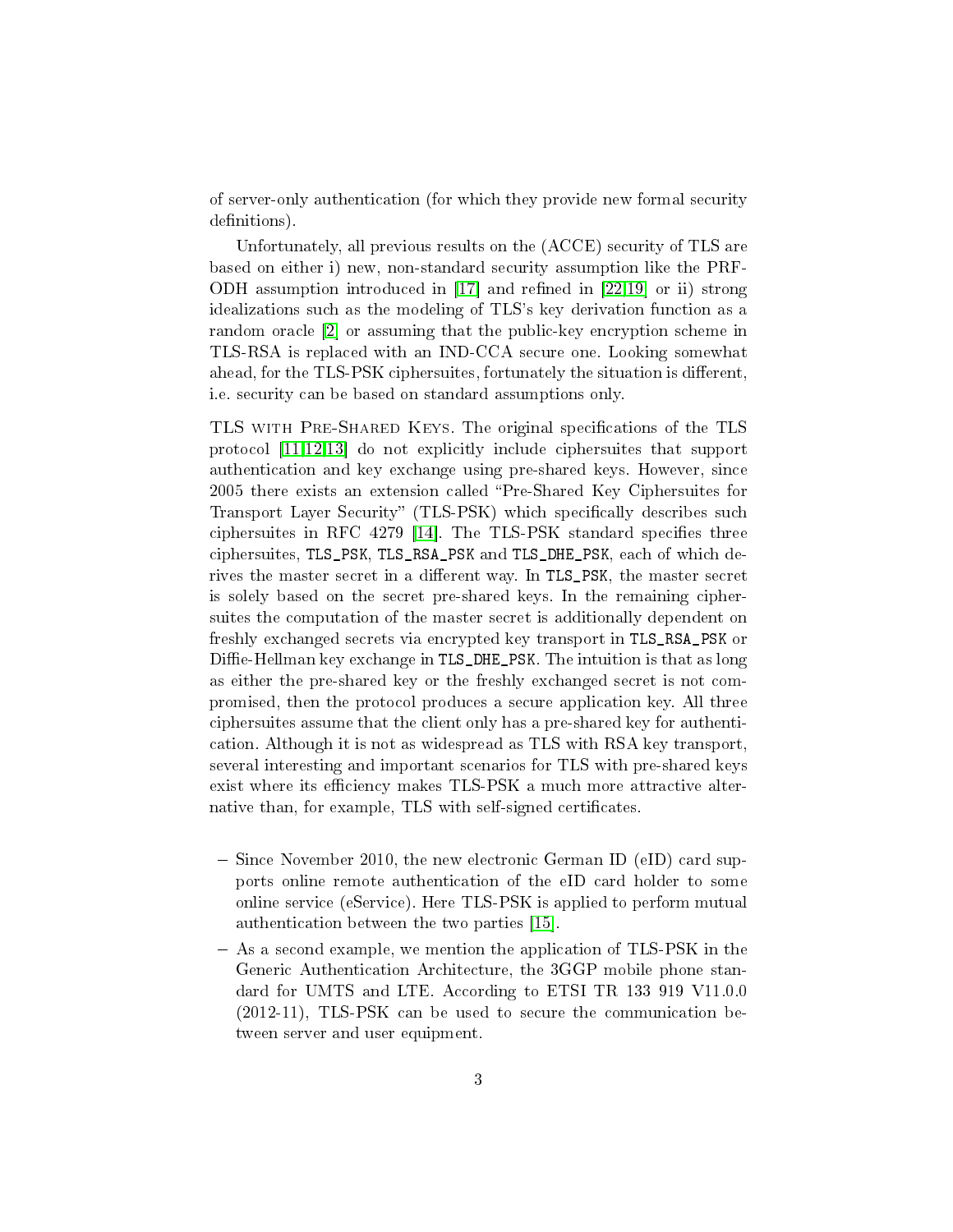of server-only authentication (for which they provide new formal security definitions).

Unfortunately, all previous results on the (ACCE) security of TLS are based on either i) new, non-standard security assumption like the PRF-ODH assumption introduced in  $[17]$  and refined in  $[22,19]$  $[22,19]$  or ii) strong idealizations such as the modeling of TLS's key derivation function as a random oracle [\[2\]](#page-16-5) or assuming that the public-key encryption scheme in TLS-RSA is replaced with an IND-CCA secure one. Looking somewhat ahead, for the TLS-PSK ciphersuites, fortunately the situation is different. i.e. security can be based on standard assumptions only.

TLS WITH PRE-SHARED KEYS. The original specifications of the TLS protocol [\[11](#page-16-6)[,12](#page-16-7)[,13\]](#page-16-8) do not explicitly include ciphersuites that support authentication and key exchange using pre-shared keys. However, since 2005 there exists an extension called "Pre-Shared Key Ciphersuites for Transport Layer Security" (TLS-PSK) which specifically describes such ciphersuites in RFC 4279  $[14]$ . The TLS-PSK standard specifies three ciphersuites, TLS\_PSK, TLS\_RSA\_PSK and TLS\_DHE\_PSK, each of which derives the master secret in a different way. In TLS\_PSK, the master secret is solely based on the secret pre-shared keys. In the remaining ciphersuites the computation of the master secret is additionally dependent on freshly exchanged secrets via encrypted key transport in TLS\_RSA\_PSK or Diffie-Hellman key exchange in TLS\_DHE\_PSK. The intuition is that as long as either the pre-shared key or the freshly exchanged secret is not compromised, then the protocol produces a secure application key. All three ciphersuites assume that the client only has a pre-shared key for authentication. Although it is not as widespread as TLS with RSA key transport, several interesting and important scenarios for TLS with pre-shared keys exist where its efficiency makes TLS-PSK a much more attractive alternative than, for example, TLS with self-signed certificates.

- Since November 2010, the new electronic German ID (eID) card supports online remote authentication of the eID card holder to some online service (eService). Here TLS-PSK is applied to perform mutual authentication between the two parties [\[15\]](#page-17-13).
- As a second example, we mention the application of TLS-PSK in the Generic Authentication Architecture, the 3GGP mobile phone standard for UMTS and LTE. According to ETSI TR 133 919 V11.0.0 (2012-11), TLS-PSK can be used to secure the communication between server and user equipment.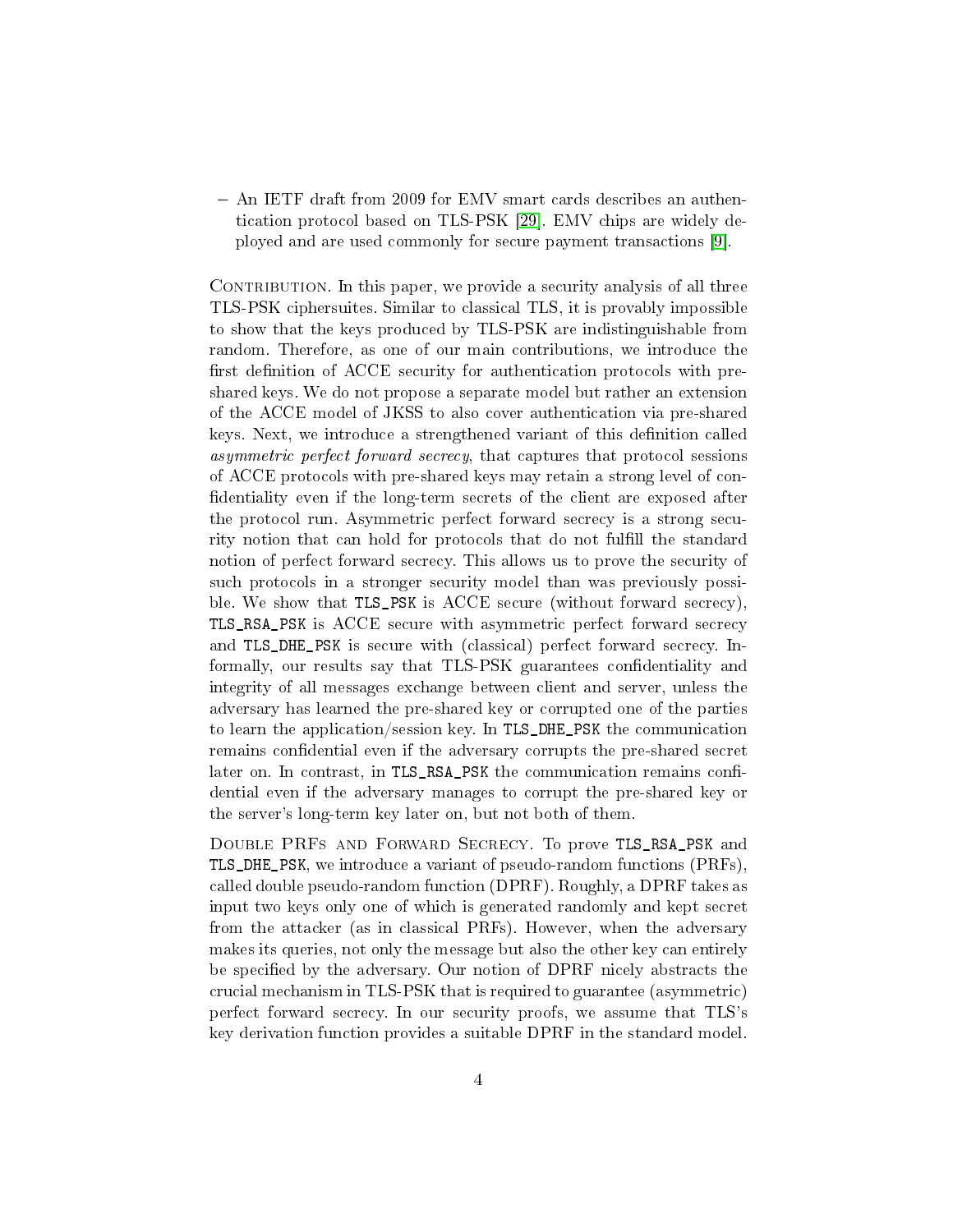An IETF draft from 2009 for EMV smart cards describes an authentication protocol based on TLS-PSK [\[29\]](#page-17-1). EMV chips are widely deployed and are used commonly for secure payment transactions [\[9\]](#page-16-9).

CONTRIBUTION. In this paper, we provide a security analysis of all three TLS-PSK ciphersuites. Similar to classical TLS, it is provably impossible to show that the keys produced by TLS-PSK are indistinguishable from random. Therefore, as one of our main contributions, we introduce the first definition of ACCE security for authentication protocols with preshared keys. We do not propose a separate model but rather an extension of the ACCE model of JKSS to also cover authentication via pre-shared keys. Next, we introduce a strengthened variant of this definition called asymmetric perfect forward secrecy, that captures that protocol sessions of ACCE protocols with pre-shared keys may retain a strong level of con dentiality even if the long-term secrets of the client are exposed after the protocol run. Asymmetric perfect forward secrecy is a strong security notion that can hold for protocols that do not fulll the standard notion of perfect forward secrecy. This allows us to prove the security of such protocols in a stronger security model than was previously possible. We show that TLS PSK is ACCE secure (without forward secrecy), TLS\_RSA\_PSK is ACCE secure with asymmetric perfect forward secrecy and TLS\_DHE\_PSK is secure with (classical) perfect forward secrecy. Informally, our results say that TLS-PSK guarantees confidentiality and integrity of all messages exchange between client and server, unless the adversary has learned the pre-shared key or corrupted one of the parties to learn the application/session key. In TLS\_DHE\_PSK the communication remains confidential even if the adversary corrupts the pre-shared secret later on. In contrast, in TLS\_RSA\_PSK the communication remains confidential even if the adversary manages to corrupt the pre-shared key or the server's long-term key later on, but not both of them.

Double PRFs and Forward Secrecy. To prove TLS\_RSA\_PSK and TLS\_DHE\_PSK, we introduce a variant of pseudo-random functions (PRFs), called double pseudo-random function (DPRF). Roughly, a DPRF takes as input two keys only one of which is generated randomly and kept secret from the attacker (as in classical PRFs). However, when the adversary makes its queries, not only the message but also the other key can entirely be specified by the adversary. Our notion of DPRF nicely abstracts the crucial mechanism in TLS-PSK that is required to guarantee (asymmetric) perfect forward secrecy. In our security proofs, we assume that TLS's key derivation function provides a suitable DPRF in the standard model.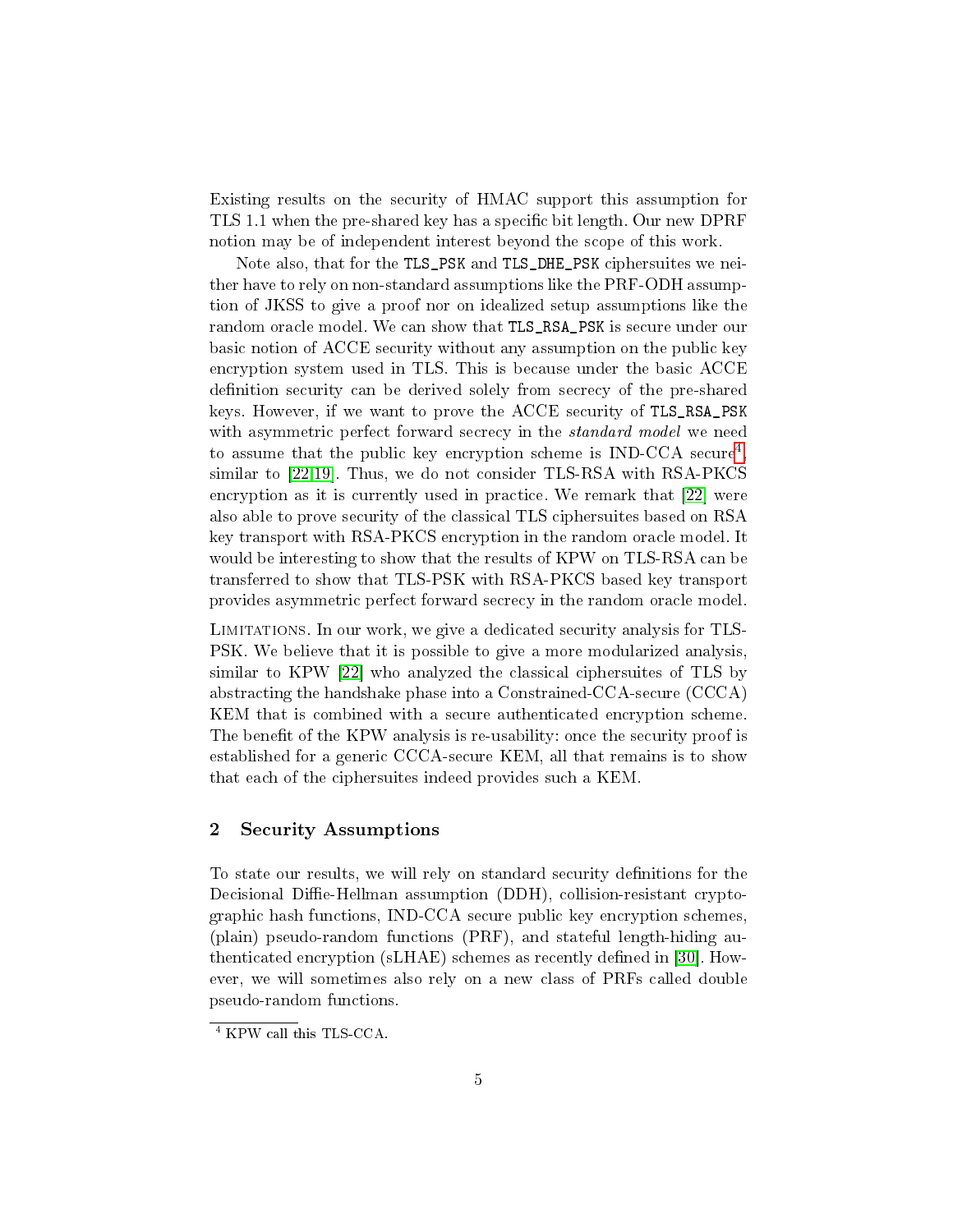Existing results on the security of HMAC support this assumption for TLS 1.1 when the pre-shared key has a specific bit length. Our new DPRF notion may be of independent interest beyond the scope of this work.

Note also, that for the TLS\_PSK and TLS\_DHE\_PSK ciphersuites we neither have to rely on non-standard assumptions like the PRF-ODH assumption of JKSS to give a proof nor on idealized setup assumptions like the random oracle model. We can show that TLS\_RSA\_PSK is secure under our basic notion of ACCE security without any assumption on the public key encryption system used in TLS. This is because under the basic ACCE definition security can be derived solely from secrecy of the pre-shared keys. However, if we want to prove the ACCE security of TLS\_RSA\_PSK with asymmetric perfect forward secrecy in the *standard model* we need to assume that the public key encryption scheme is IND-CCA secure<sup>[4](#page-4-0)</sup>, similar to [\[22,](#page-17-10)[19\]](#page-17-11). Thus, we do not consider TLS-RSA with RSA-PKCS encryption as it is currently used in practice. We remark that [\[22\]](#page-17-10) were also able to prove security of the classical TLS ciphersuites based on RSA key transport with RSA-PKCS encryption in the random oracle model. It would be interesting to show that the results of KPW on TLS-RSA can be transferred to show that TLS-PSK with RSA-PKCS based key transport provides asymmetric perfect forward secrecy in the random oracle model.

Limitations. In our work, we give a dedicated security analysis for TLS-PSK. We believe that it is possible to give a more modularized analysis, similar to KPW [\[22\]](#page-17-10) who analyzed the classical ciphersuites of TLS by abstracting the handshake phase into a Constrained-CCA-secure (CCCA) KEM that is combined with a secure authenticated encryption scheme. The benefit of the KPW analysis is re-usability: once the security proof is established for a generic CCCA-secure KEM, all that remains is to show that each of the ciphersuites indeed provides such a KEM.

## 2 Security Assumptions

To state our results, we will rely on standard security definitions for the Decisional Diffie-Hellman assumption (DDH), collision-resistant cryptographic hash functions, IND-CCA secure public key encryption schemes, (plain) pseudo-random functions (PRF), and stateful length-hiding au-thenticated encryption (sLHAE) schemes as recently defined in [\[30\]](#page-17-14). However, we will sometimes also rely on a new class of PRFs called double pseudo-random functions.

<span id="page-4-0"></span><sup>4</sup> KPW call this TLS-CCA.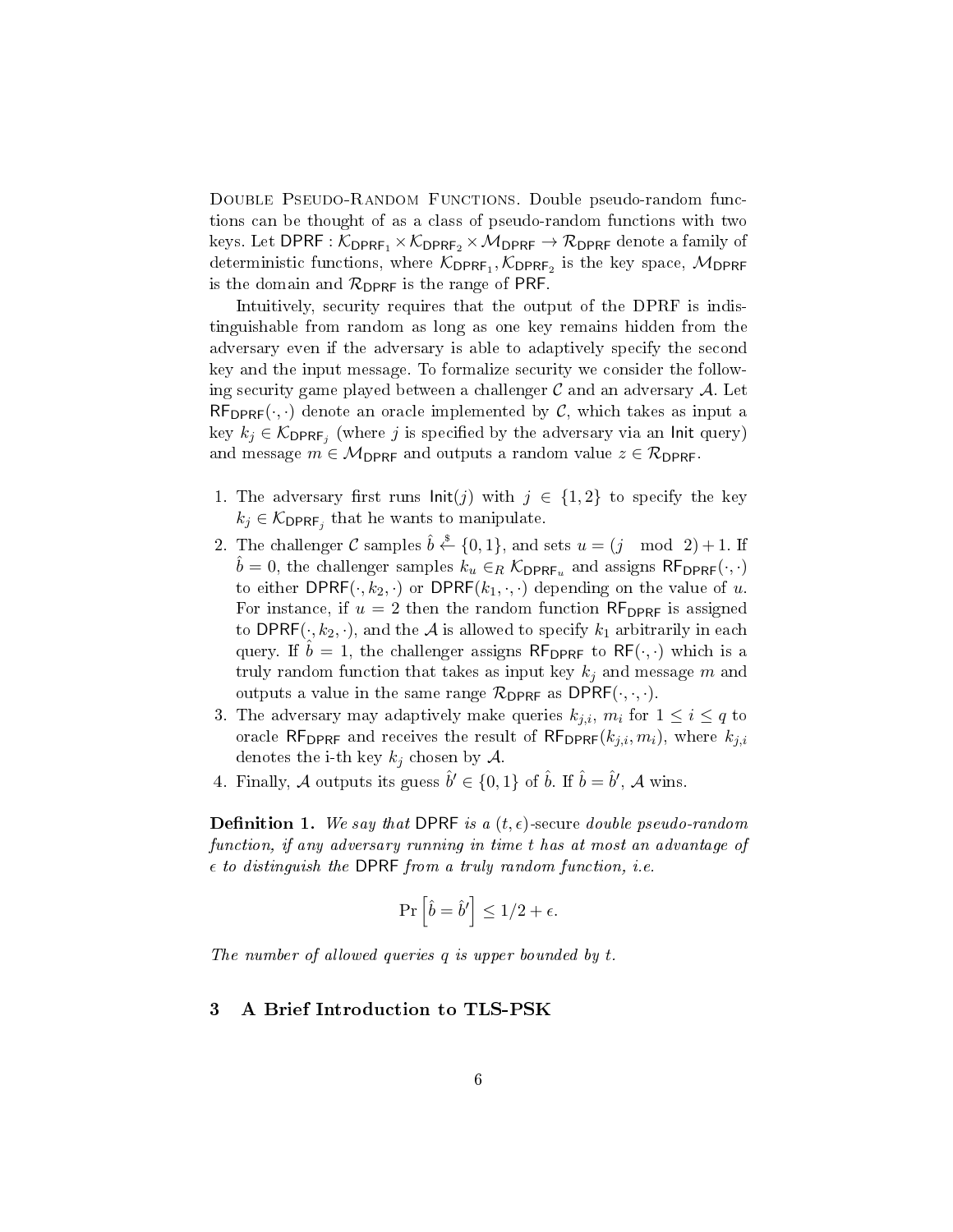Double Pseudo-Random Functions. Double pseudo-random functions can be thought of as a class of pseudo-random functions with two keys. Let DPRF :  $\mathcal{K}_{\text{DPRF}_1} \times \mathcal{K}_{\text{DPRF}_2} \times \mathcal{M}_{\text{DPRF}} \rightarrow \mathcal{R}_{\text{DPRF}}$  denote a family of deterministic functions, where  $\mathcal{K}_{\mathsf{DPRF}_1}, \mathcal{K}_{\mathsf{DPRF}_2}$  is the key space,  $\mathcal{M}_{\mathsf{DPRF}}$ is the domain and  $\mathcal{R}_{\text{DPRF}}$  is the range of PRF.

Intuitively, security requires that the output of the DPRF is indistinguishable from random as long as one key remains hidden from the adversary even if the adversary is able to adaptively specify the second key and the input message. To formalize security we consider the following security game played between a challenger  $\mathcal C$  and an adversary  $\mathcal A$ . Let  $RF_{DPRF}(\cdot, \cdot)$  denote an oracle implemented by C, which takes as input a key  $k_j \in \mathcal{K}_{\mathsf{DPRF}_j}$  (where j is specified by the adversary via an Init query) and message  $m \in \mathcal{M}_{\text{DPRF}}$  and outputs a random value  $z \in \mathcal{R}_{\text{DPRF}}$ .

- 1. The adversary first runs  $\text{Init}(j)$  with  $j \in \{1,2\}$  to specify the key  $k_j \in \mathcal{K}_{\mathsf{DPRF}_j}$  that he wants to manipulate.
- 2. The challenger  $\mathcal C$  samples  $\hat b \stackrel{\hspace{0.1em}\mathsf{\scriptscriptstyle\$}}{\leftarrow} \{0,1\},$  and sets  $u=(j \mod\ 2)+1.$  If  $\hat{b} = 0$ , the challenger samples  $k_u \in_R \mathcal{K}_{\text{DPRF}_u}$  and assigns  $\mathsf{RF}_{\text{DPRF}}(\cdot, \cdot)$ to either DPRF $(\cdot, k_2, \cdot)$  or DPRF $(k_1, \cdot, \cdot)$  depending on the value of u. For instance, if  $u = 2$  then the random function  $RF_{DPRF}$  is assigned to DPRF $(\cdot, k_2, \cdot)$ , and the A is allowed to specify  $k_1$  arbitrarily in each query. If  $b = 1$ , the challenger assigns RF<sub>DPRF</sub> to RF( $\cdot$ , $\cdot$ ) which is a truly random function that takes as input key  $k_j$  and message m and outputs a value in the same range  $\mathcal{R}_{\text{DPRF}}$  as  $\text{DPRF}(\cdot, \cdot, \cdot)$ .
- 3. The adversary may adaptively make queries  $k_{j,i}$ ,  $m_i$  for  $1 \leq i \leq q$  to oracle RF<sub>DPRF</sub> and receives the result of RF<sub>DPRF</sub> $(k_{j,i}, m_i)$ , where  $k_{j,i}$ denotes the i-th key  $k_j$  chosen by A.
- 4. Finally, A outputs its guess  $\hat{b}' \in \{0,1\}$  of  $\hat{b}$ . If  $\hat{b} = \hat{b}'$ , A wins.

**Definition 1.** We say that DPRF is a  $(t, \epsilon)$ -secure double pseudo-random function, if any adversary running in time t has at most an advantage of  $\epsilon$  to distinguish the DPRF from a truly random function, i.e.

$$
\Pr\left[\hat{b} = \hat{b}'\right] \le 1/2 + \epsilon.
$$

The number of allowed queries q is upper bounded by t.

#### 3 A Brief Introduction to TLS-PSK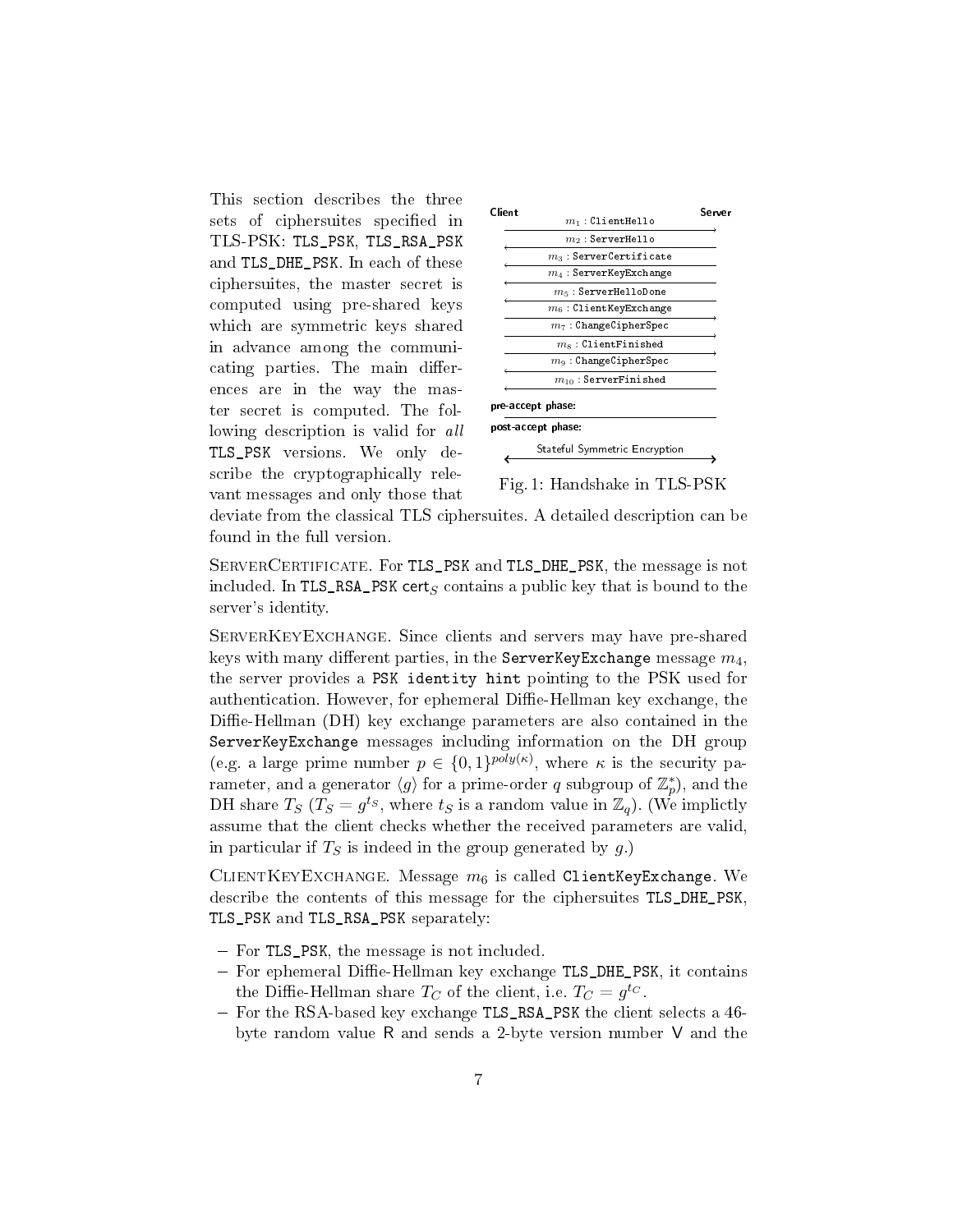This section describes the three sets of ciphersuites specified in TLS-PSK: TLS\_PSK, TLS\_RSA\_PSK and TLS\_DHE\_PSK. In each of these ciphersuites, the master secret is computed using pre-shared keys which are symmetric keys shared in advance among the communicating parties. The main differences are in the way the master secret is computed. The following description is valid for *all* TLS\_PSK versions. We only describe the cryptographically relevant messages and only those that

| Client            |                               | Server |
|-------------------|-------------------------------|--------|
|                   | $m_1$ : ClientHello           |        |
|                   | $m_2$ : ServerHello           |        |
|                   | $m_3$ : ServerCertificate     |        |
|                   | $m_4$ : ServerKeyExchange     |        |
|                   | $m_5$ : ServerHelloDone       |        |
|                   | $m_6$ : ClientKeyExchange     |        |
|                   | $m_7$ : ChangeCipherSpec      |        |
|                   | $m_8$ : ClientFinished        |        |
|                   | $m_9$ : ChangeCipherSpec      |        |
|                   | $m_{10}$ : ServerFinished     |        |
| pre-accept phase: |                               |        |
|                   | post-accept phase:            |        |
|                   | Stateful Symmetric Encryption |        |
|                   |                               |        |

Fig. 1: Handshake in TLS-PSK

deviate from the classical TLS ciphersuites. A detailed description can be found in the full version.

ServerCertificate. For TLS\_PSK and TLS\_DHE\_PSK, the message is not included. In TLS\_RSA\_PSK certs contains a public key that is bound to the server's identity.

ServerKeyExchange. Since clients and servers may have pre-shared keys with many different parties, in the ServerKeyExchange message  $m_4$ , the server provides a PSK identity hint pointing to the PSK used for authentication. However, for ephemeral Diffie-Hellman key exchange, the Diffie-Hellman (DH) key exchange parameters are also contained in the ServerKeyExchange messages including information on the DH group (e.g. a large prime number  $p \in \{0,1\}^{poly(\kappa)}$ , where  $\kappa$  is the security parameter, and a generator  $\langle g \rangle$  for a prime-order  $q$  subgroup of  $\mathbb{Z}_p^*$ ), and the DH share  $T_S$  ( $T_S = g^{ts}$ , where  $t_S$  is a random value in  $\mathbb{Z}_q$ ). (We implictly assume that the client checks whether the received parameters are valid, in particular if  $T<sub>S</sub>$  is indeed in the group generated by  $g$ .)

CLIENTKEYEXCHANGE. Message  $m_6$  is called ClientKeyExchange. We describe the contents of this message for the ciphersuites TLS\_DHE\_PSK, TLS\_PSK and TLS\_RSA\_PSK separately:

- For TLS\_PSK, the message is not included.
- For ephemeral Diffie-Hellman key exchange TLS\_DHE\_PSK, it contains the Diffie-Hellman share  $T_C$  of the client, i.e.  $T_C = g^{tc}$ .
- For the RSA-based key exchange TLS\_RSA\_PSK the client selects a 46byte random value R and sends a 2-byte version number V and the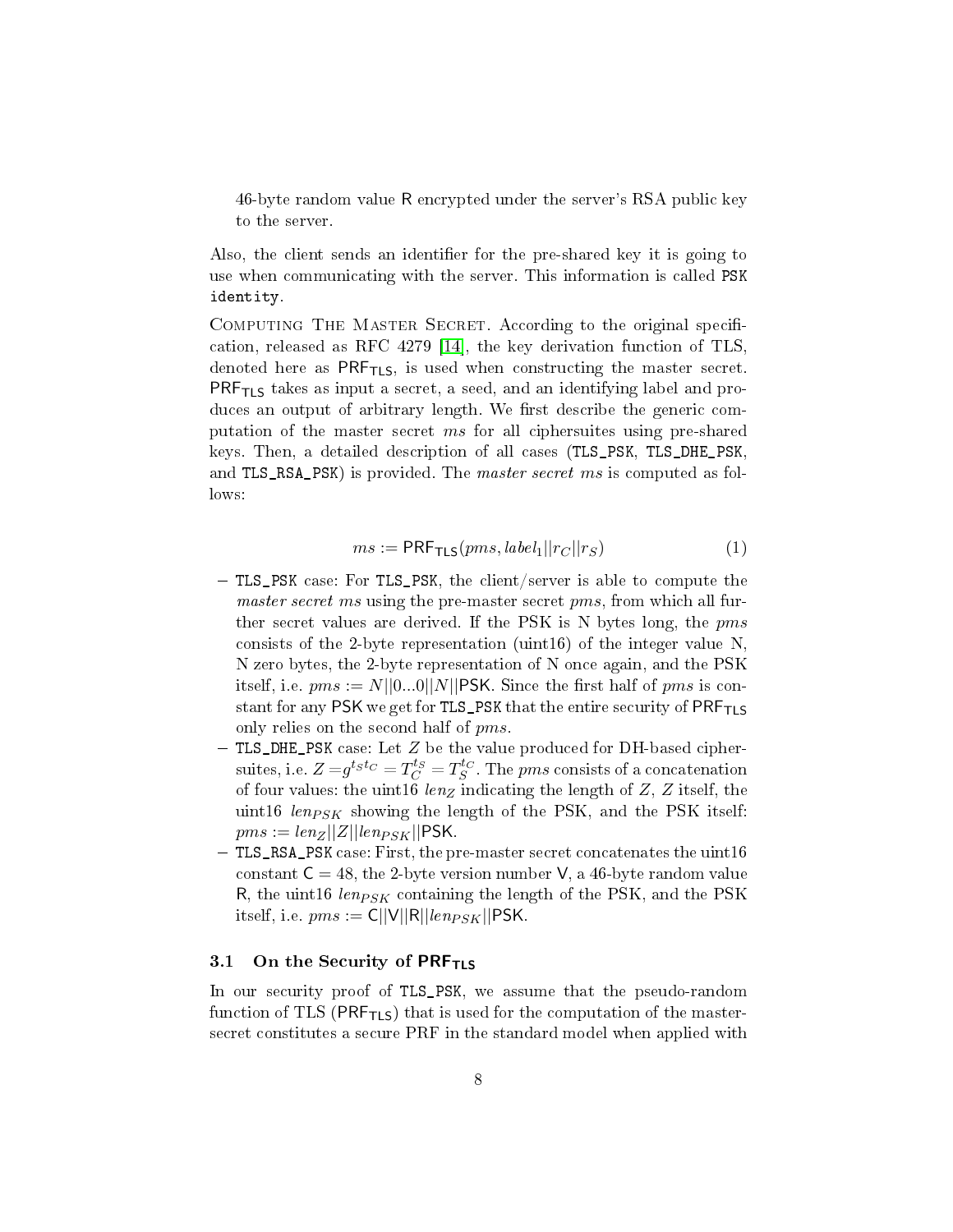46-byte random value R encrypted under the server's RSA public key to the server.

Also, the client sends an identifier for the pre-shared key it is going to use when communicating with the server. This information is called PSK identity.

COMPUTING THE MASTER SECRET. According to the original specification, released as RFC 4279 [\[14\]](#page-17-12), the key derivation function of TLS, denoted here as  $PRF_{TLS}$ , is used when constructing the master secret. PRFTLS takes as input a secret, a seed, and an identifying label and produces an output of arbitrary length. We first describe the generic computation of the master secret ms for all ciphersuites using pre-shared keys. Then, a detailed description of all cases (TLS\_PSK, TLS\_DHE\_PSK, and TLS\_RSA\_PSK) is provided. The *master secret ms* is computed as follows:

$$
ms := \mathsf{PRF}_{\mathsf{TLS}}(pms, label_1 || r_C || r_S) \tag{1}
$$

- TLS\_PSK case: For TLS\_PSK, the client/server is able to compute the master secret ms using the pre-master secret pms, from which all further secret values are derived. If the PSK is N bytes long, the pms consists of the 2-byte representation (uint16) of the integer value N, N zero bytes, the 2-byte representation of N once again, and the PSK itself, i.e.  $pms := N||0...0||N||PSK$ . Since the first half of pms is constant for any PSK we get for TLS\_PSK that the entire security of  $PRF_{TLS}$ only relies on the second half of pms.
- $-$  TLS\_DHE\_PSK case: Let  $Z$  be the value produced for DH-based ciphersuites, i.e.  $Z = g^{t_S t_C} = T_C^{t_S} = T_S^{t_C}$ . The  $pms$  consists of a concatenation of four values: the uint16  $len_Z$  indicating the length of  $Z, Z$  itself, the uint16  $len_{PSK}$  showing the length of the PSK, and the PSK itself:  $pms := len_Z||Z||len_{PSK}||PSK$ .
- $-$  TLS\_RSA\_PSK case: First, the pre-master secret concatenates the uint16 constant  $C = 48$ , the 2-byte version number V, a 46-byte random value R, the uint 16  $len_{PSK}$  containing the length of the PSK, and the PSK itself, i.e.  $pms := C||V||R||len_{PSK}||PSK$ .

### 3.1 On the Security of  $PRF_{TLS}$

In our security proof of TLS\_PSK, we assume that the pseudo-random function of TLS (PRF<sub>TLS</sub>) that is used for the computation of the mastersecret constitutes a secure PRF in the standard model when applied with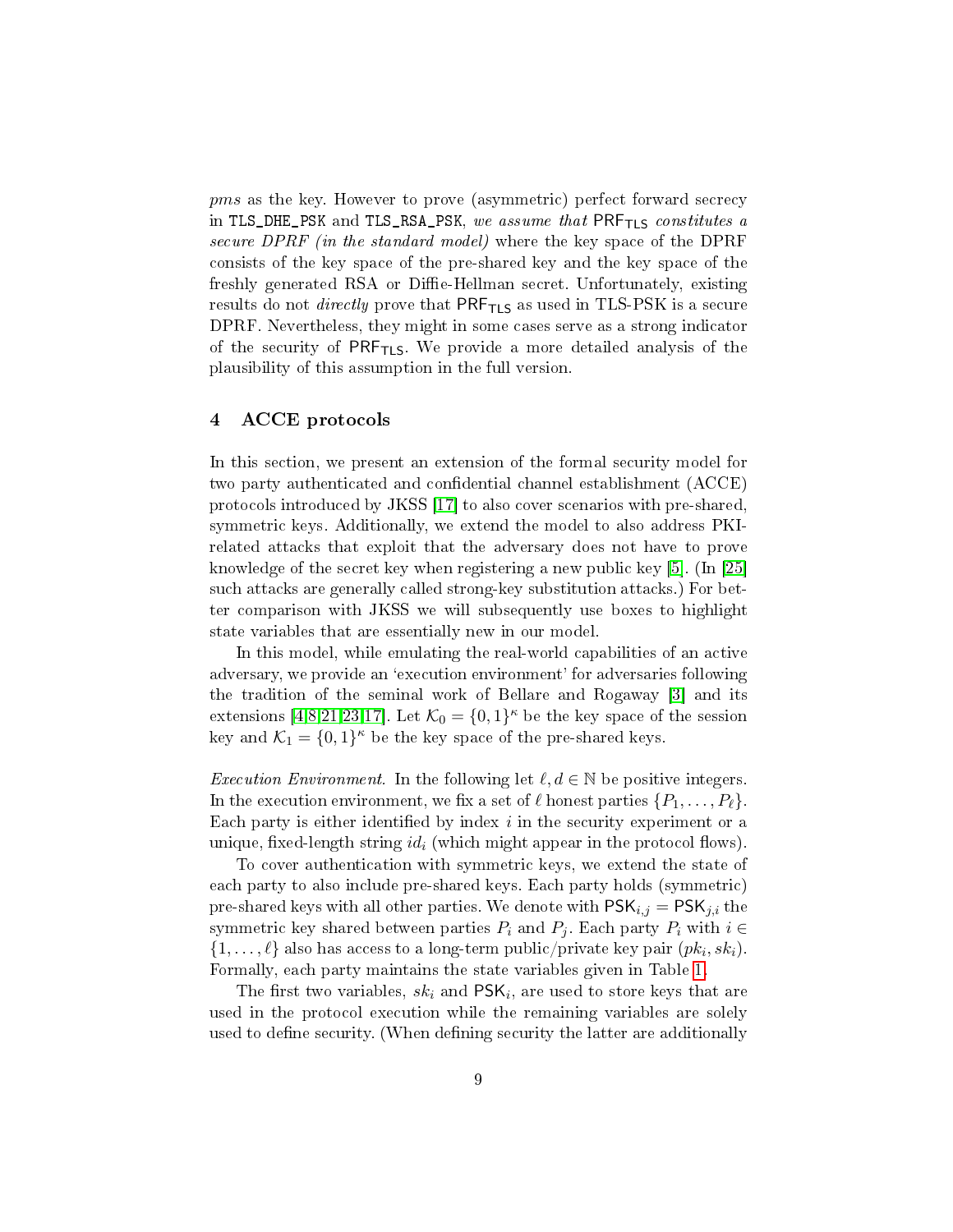pms as the key. However to prove (asymmetric) perfect forward secrecy in TLS\_DHE\_PSK and TLS\_RSA\_PSK, we assume that  $PRF_{TLS}$  constitutes a secure DPRF (in the standard model) where the key space of the DPRF consists of the key space of the pre-shared key and the key space of the freshly generated RSA or Diffie-Hellman secret. Unfortunately, existing results do not *directly* prove that  $PRF_{TLS}$  as used in TLS-PSK is a secure DPRF. Nevertheless, they might in some cases serve as a strong indicator of the security of  $PRF_{TLS}$ . We provide a more detailed analysis of the plausibility of this assumption in the full version.

#### 4 ACCE protocols

In this section, we present an extension of the formal security model for two party authenticated and confidential channel establishment (ACCE) protocols introduced by JKSS [\[17\]](#page-17-9) to also cover scenarios with pre-shared, symmetric keys. Additionally, we extend the model to also address PKIrelated attacks that exploit that the adversary does not have to prove knowledge of the secret key when registering a new public key [\[5\]](#page-16-10). (In [\[25\]](#page-17-15) such attacks are generally called strong-key substitution attacks.) For better comparison with JKSS we will subsequently use boxes to highlight state variables that are essentially new in our model.

In this model, while emulating the real-world capabilities of an active adversary, we provide an 'execution environment' for adversaries following the tradition of the seminal work of Bellare and Rogaway [\[3\]](#page-16-4) and its extensions [\[4](#page-16-11)[,8,](#page-16-12)[21,](#page-17-16)[23](#page-17-17)[,17\]](#page-17-9). Let  $\mathcal{K}_0 = \{0,1\}^{\kappa}$  be the key space of the session key and  $\mathcal{K}_1 = \{0,1\}^{\kappa}$  be the key space of the pre-shared keys.

*Execution Environment.* In the following let  $\ell, d \in \mathbb{N}$  be positive integers. In the execution environment, we fix a set of  $\ell$  honest parties  $\{P_1, \ldots, P_\ell\}.$ Each party is either identified by index  $i$  in the security experiment or a unique, fixed-length string  $id_i$  (which might appear in the protocol flows).

To cover authentication with symmetric keys, we extend the state of each party to also include pre-shared keys. Each party holds (symmetric) pre-shared keys with all other parties. We denote with  $PSK_{i,j} = PSK_{j,i}$  the symmetric key shared between parties  $P_i$  and  $P_j$ . Each party  $P_i$  with  $i \in$  $\{1,\ldots,\ell\}$  also has access to a long-term public/private key pair  $(pk_i, sk_i)$ . Formally, each party maintains the state variables given in Table [1.](#page-9-0)

The first two variables,  $sk_i$  and  $\mathsf{PSK}_i$ , are used to store keys that are used in the protocol execution while the remaining variables are solely used to define security. (When defining security the latter are additionally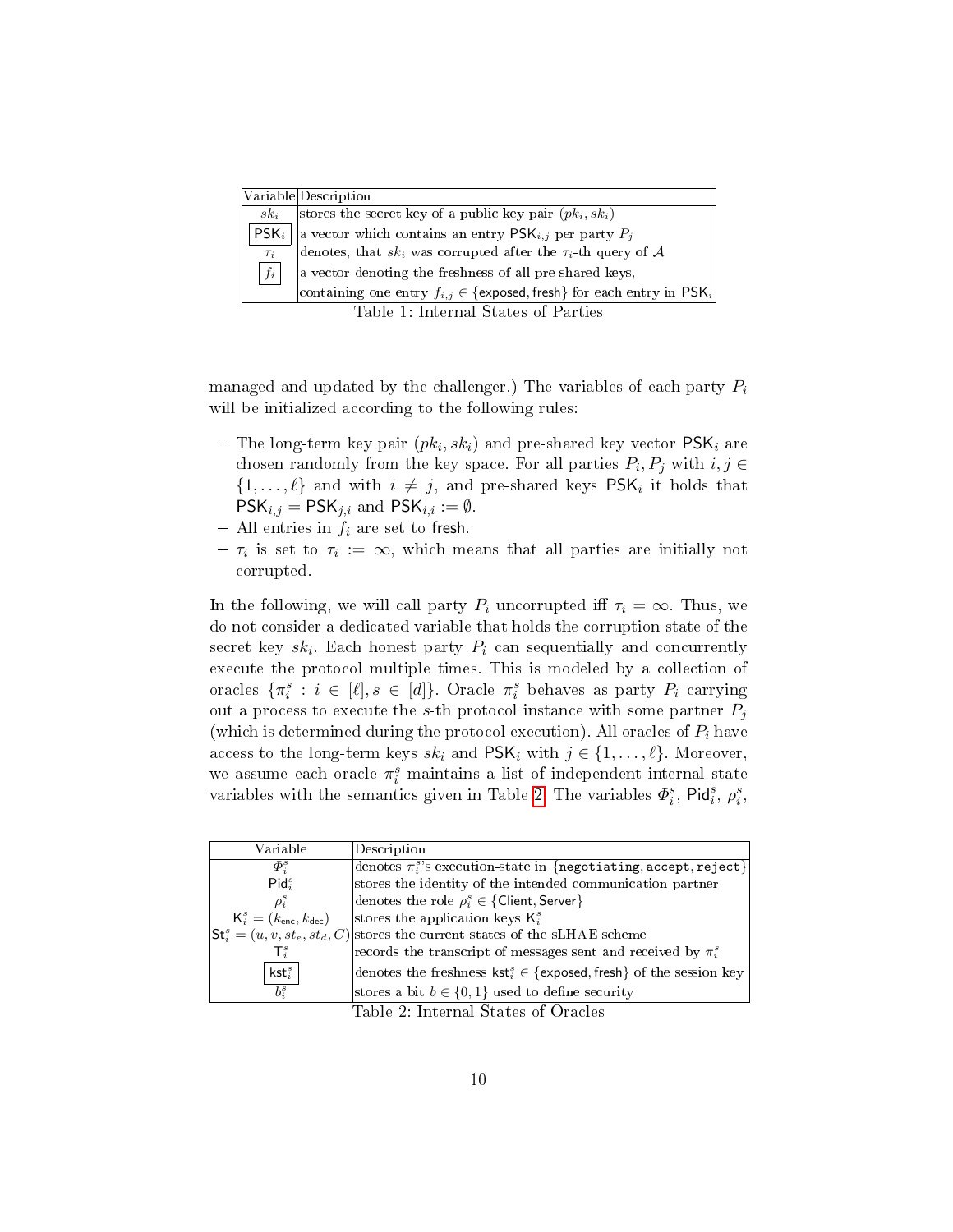<span id="page-9-0"></span>

|                                     | Variable Description                                                                                  |  |
|-------------------------------------|-------------------------------------------------------------------------------------------------------|--|
| $sk_i$                              | stores the secret key of a public key pair $(pk_i, sk_i)$                                             |  |
| $PSK_i$                             | a vector which contains an entry $PSK_{i,j}$ per party $P_i$                                          |  |
| $\tau_i$                            | denotes, that sk <sub>i</sub> was corrupted after the $\tau_i$ -th query of A                         |  |
| $f_i$                               | a vector denoting the freshness of all pre-shared keys,                                               |  |
|                                     | containing one entry $f_{i,j} \in \{\text{exposed}, \text{fresh}\}\$ for each entry in $\text{PSK}_i$ |  |
| Table 1: Internal States of Parties |                                                                                                       |  |

managed and updated by the challenger.) The variables of each party  $P_i$ will be initialized according to the following rules:

- The long-term key pair  $(\mathit{pk}_i, \mathit{sk}_i)$  and pre-shared key vector  $\mathsf{PSK}_i$  are chosen randomly from the key space. For all parties  $P_i, P_j$  with  $i, j \in$  $\{1,\ldots,\ell\}$  and with  $i \neq j$ , and pre-shared keys  $\mathsf{PSK}_i$  it holds that  $PSK_{i,j} = PSK_{j,i}$  and  $PSK_{i,i} := \emptyset$ .
- All entries in  $f_i$  are set to fresh.
- $-\tau_i$  is set to  $\tau_i := \infty$ , which means that all parties are initially not corrupted.

In the following, we will call party  $P_i$  uncorrupted iff  $\tau_i = \infty$ . Thus, we do not consider a dedicated variable that holds the corruption state of the secret key  $sk_i$ . Each honest party  $P_i$  can sequentially and concurrently execute the protocol multiple times. This is modeled by a collection of oracles  $\{\pi_i^s : i \in [\ell], s \in [d]\}$ . Oracle  $\pi_i^s$  behaves as party  $P_i$  carrying out a process to execute the s-th protocol instance with some partner  $P_j$ (which is determined during the protocol execution). All oracles of  $P_i$  have access to the long-term keys  $sk_i$  and  $\mathsf{PSK}_i$  with  $j \in \{1, \ldots, \ell\}$ . Moreover, we assume each oracle  $\pi_i^s$  maintains a list of independent internal state variables with the semantics given in Table [2.](#page-9-1) The variables  $\Phi_i^s$ , Pid $_i^s$ ,  $\rho_i^s$ ,

<span id="page-9-1"></span>

| Variable                                                | Description                                                                              |  |
|---------------------------------------------------------|------------------------------------------------------------------------------------------|--|
| $\varPhi_i^s$                                           | denotes $\pi_i^{s}$ 's execution-state in {negotiating, accept, reject}                  |  |
| $Pid_i^s$                                               | stores the identity of the intended communication partner                                |  |
| $\rho_i^s$                                              | denotes the role $\rho_i^s \in \{\text{Client}, \text{Server}\}\$                        |  |
| $\mathsf{K}_i^s = (k_{\mathsf{enc}}, k_{\mathsf{dec}})$ | stores the application keys $\mathsf{K}_{i}^{s}$                                         |  |
|                                                         | $\mathsf{St}_i^s = (u, v, st_e, st_d, C) $ stores the current states of the sLHAE scheme |  |
| $\mathsf{T}_i^s$                                        | records the transcript of messages sent and received by $\pi_i^s$                        |  |
| $\mathsf{kst}_i^s$                                      | denotes the freshness $kst_i^s \in \{\text{exposed}, \text{fresh}\}\$ of the session key |  |
| $b_i^s$                                                 | stores a bit $b \in \{0, 1\}$ used to define security                                    |  |

Table 2: Internal States of Oracles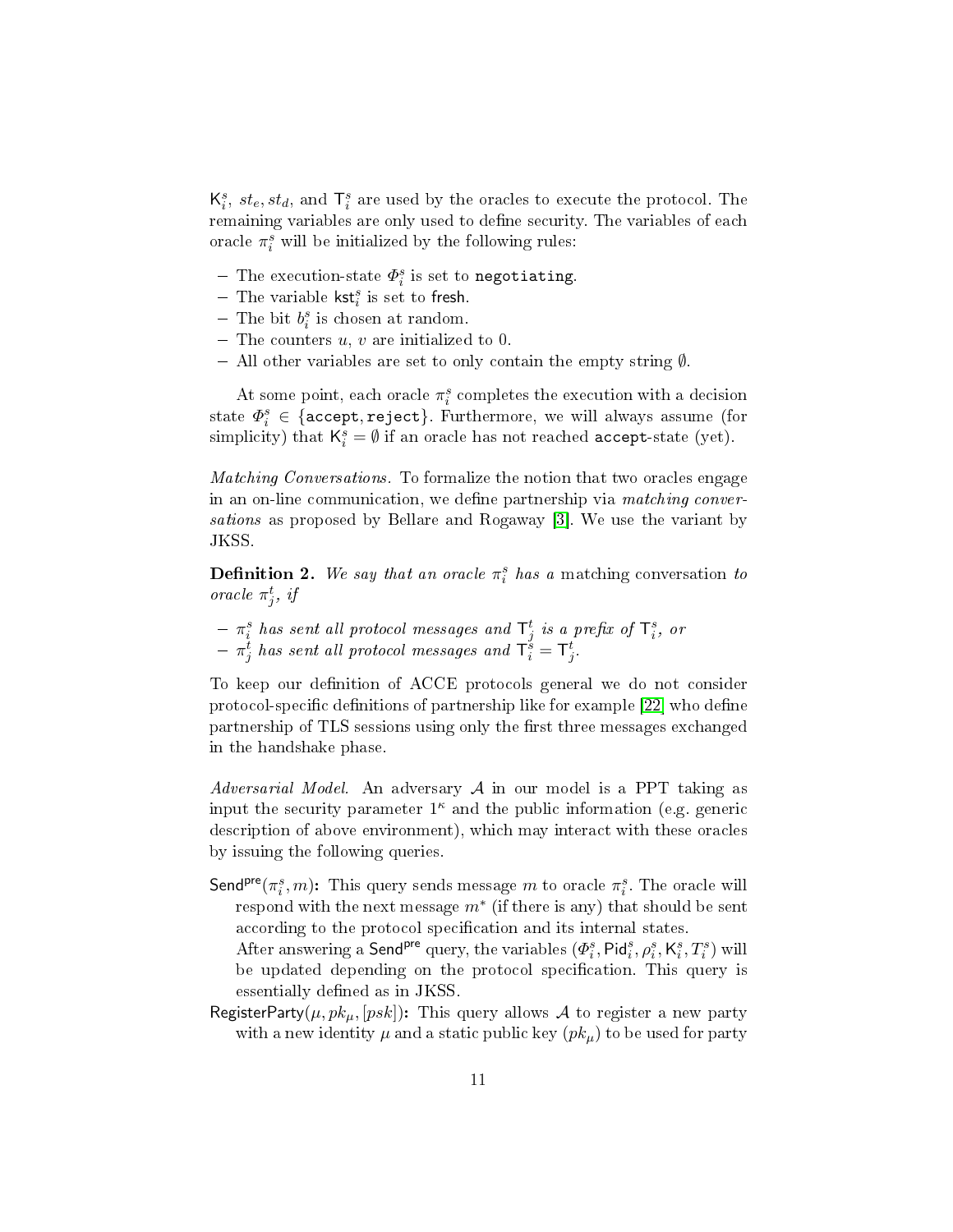$\mathsf{K}_i^s$ ,  $st_e, st_d$ , and  $\mathsf{T}_i^s$  are used by the oracles to execute the protocol. The remaining variables are only used to define security. The variables of each oracle  $\pi_i^s$  will be initialized by the following rules:

- The execution-state  $\Phi_i^s$  is set to negotiating.
- The variable  $kst_i^s$  is set to fresh.
- The bit  $b_i^s$  is chosen at random.
- The counters  $u, v$  are initialized to 0.
- All other variables are set to only contain the empty string  $\emptyset$ .

At some point, each oracle  $\pi_i^s$  completes the execution with a decision state  $\Phi_i^s \in \{\texttt{accept}, \texttt{reject}\}$ . Furthermore, we will always assume (for simplicity) that  $\mathsf{K}_{i}^{s} = \emptyset$  if an oracle has not reached accept-state (yet).

Matching Conversations. To formalize the notion that two oracles engage in an on-line communication, we define partnership via *matching conver*sations as proposed by Bellare and Rogaway [\[3\]](#page-16-4). We use the variant by JKSS.

**Definition 2.** We say that an oracle  $\pi_i^s$  has a matching conversation to oracle  $\pi_j^t$ , if

 $\pi^s_i$  has sent all protocol messages and  $\mathsf{T}^t_j$  is a prefix of  $\mathsf{T}^s_i$ , or  $-\pi_j^t$  has sent all protocol messages and  $\bar{\mathsf{T}}^s_i = \mathsf{T}^t_j$ .

To keep our definition of ACCE protocols general we do not consider protocol-specific definitions of partnership like for example  $[22]$  who define partnership of TLS sessions using only the first three messages exchanged in the handshake phase.

Adversarial Model. An adversary  $A$  in our model is a PPT taking as input the security parameter  $1^{\kappa}$  and the public information (e.g. generic description of above environment), which may interact with these oracles by issuing the following queries.

Send $\mathsf{P}^{\mathsf{re}}(\pi_i^s, m)$ : This query sends message m to oracle  $\pi_i^s$ . The oracle will respond with the next message  $m^*$  (if there is any) that should be sent according to the protocol specification and its internal states.

After answering a Send<sup>pre</sup> query, the variables  $(\Phi_i^s, \text{Pid}_i^s, \rho_i^s, K_i^s, T_i^s)$  will be updated depending on the protocol specification. This query is essentially defined as in JKSS.

RegisterParty( $\mu, pk_\mu, [psk]$ ): This query allows A to register a new party with a new identity  $\mu$  and a static public key  $(pk_{\mu})$  to be used for party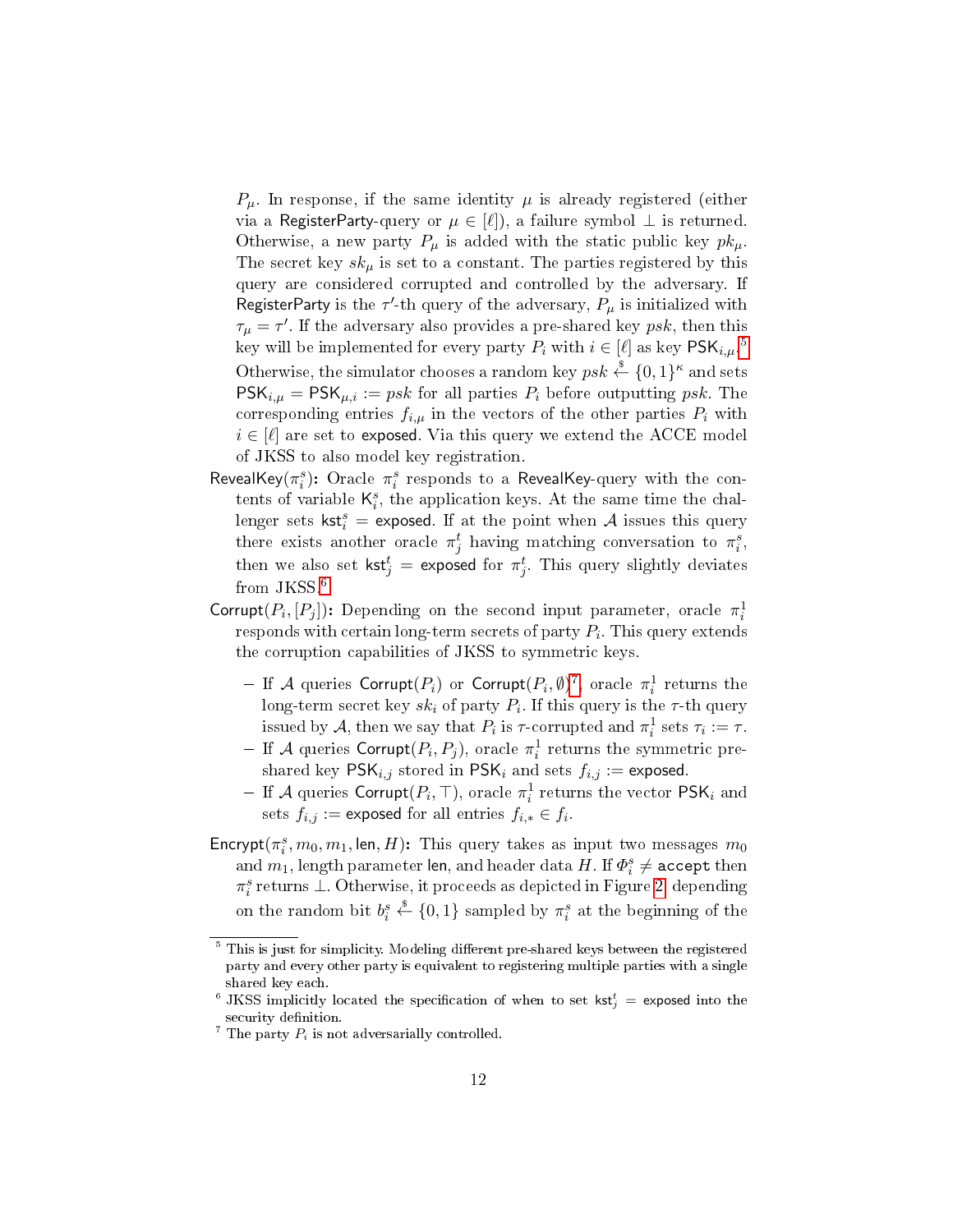$P_\mu$ . In response, if the same identity  $\mu$  is already registered (either via a RegisterParty-query or  $\mu \in [\ell]$ ), a failure symbol  $\bot$  is returned. Otherwise, a new party  $P_{\mu}$  is added with the static public key  $pk_{\mu}$ . The secret key  $sk_{\mu}$  is set to a constant. The parties registered by this query are considered corrupted and controlled by the adversary. If RegisterParty is the  $\tau'$ -th query of the adversary,  $P_\mu$  is initialized with  $\tau_{\mu} = \tau'$ . If the adversary also provides a pre-shared key psk, then this key will be implemented for every party  $P_i$  with  $i \in [\ell]$  as key PSK<sub>i, $\mu$ </sub>.<sup>[5](#page-11-0)</sup> Otherwise, the simulator chooses a random key  $psk \stackrel{\$}{\leftarrow} \{0,1\}^{\kappa}$  and sets  $PSK_{i,\mu} = PSK_{\mu,i} := psk$  for all parties  $P_i$  before outputting psk. The corresponding entries  $f_{i,\mu}$  in the vectors of the other parties  $P_i$  with  $i \in [\ell]$  are set to exposed. Via this query we extend the ACCE model of JKSS to also model key registration.

- RevealKey $(\pi_i^s)$ : Oracle  $\pi_i^s$  responds to a RevealKey-query with the contents of variable  $\mathsf{K}_{i}^{s}$ , the application keys. At the same time the challenger sets  $\mathsf{kst}_{i}^s = \mathsf{exposed}$ . If at the point when  $\mathcal A$  issues this query there exists another oracle  $\pi_j^t$  having matching conversation to  $\pi_i^s$ , then we also set  $kst_j^t =$  exposed for  $\pi_j^t$ . This query slightly deviates from JKSS.<sup>[6](#page-11-1)</sup>.
- Corrupt $(P_i, [P_j])$ : Depending on the second input parameter, oracle  $\pi_i^1$ responds with certain long-term secrets of party  $P_i.$  This query extends the corruption capabilities of JKSS to symmetric keys.
	- $-$  If  $\mathcal A$  queries  $\mathsf{Corrupt}(P_i)$  or  $\mathsf{Corrupt}(P_i,\emptyset)^7,$  $\mathsf{Corrupt}(P_i,\emptyset)^7,$  $\mathsf{Corrupt}(P_i,\emptyset)^7,$  oracle  $\pi^1_i$  returns the long-term secret key  $sk_i$  of party  $P_i$ . If this query is the  $\tau$ -th query issued by A, then we say that  $P_i$  is  $\tau$ -corrupted and  $\pi_i^1$  sets  $\tau_i := \tau$ .
	- If A queries  $\textsf{Corrupt}(P_i, P_j)$ , oracle  $\pi^1_i$  returns the symmetric preshared key  $PSK_{i,j}$  stored in  $PSK_i$  and sets  $f_{i,j} :=$  exposed.
	- $-$  If  ${\mathcal A}$  queries  ${\sf Corrupt}(P_i,{\top}),$  oracle  $\pi^1_i$  returns the vector  ${\sf PSK}_i$  and sets  $f_{i,j} :=$  exposed for all entries  $f_{i,*} \in f_i$ .
- Encrypt( $\pi_i^s, m_0, m_1$ , len, H): This query takes as input two messages  $m_0$ and  $m_1,$  length parameter len, and header data  $H$ . If  $\varPhi_i^s\neq {\tt accept}$  then  $\pi^s_i$  returns  $\bot$ . Otherwise, it proceeds as depicted in Figure [2,](#page-12-0) depending on the random bit  $b_i^s \stackrel{\$}{\leftarrow} \{0,1\}$  sampled by  $\pi_i^s$  at the beginning of the

<span id="page-11-0"></span> $5$  This is just for simplicity. Modeling different pre-shared keys between the registered party and every other party is equivalent to registering multiple parties with a single shared key each.

<span id="page-11-1"></span><sup>&</sup>lt;sup>6</sup> JKSS implicitly located the specification of when to set  $kst_j^t =$  exposed into the security definition.

<span id="page-11-2"></span><sup>&</sup>lt;sup>7</sup> The party  $P_i$  is not adversarially controlled.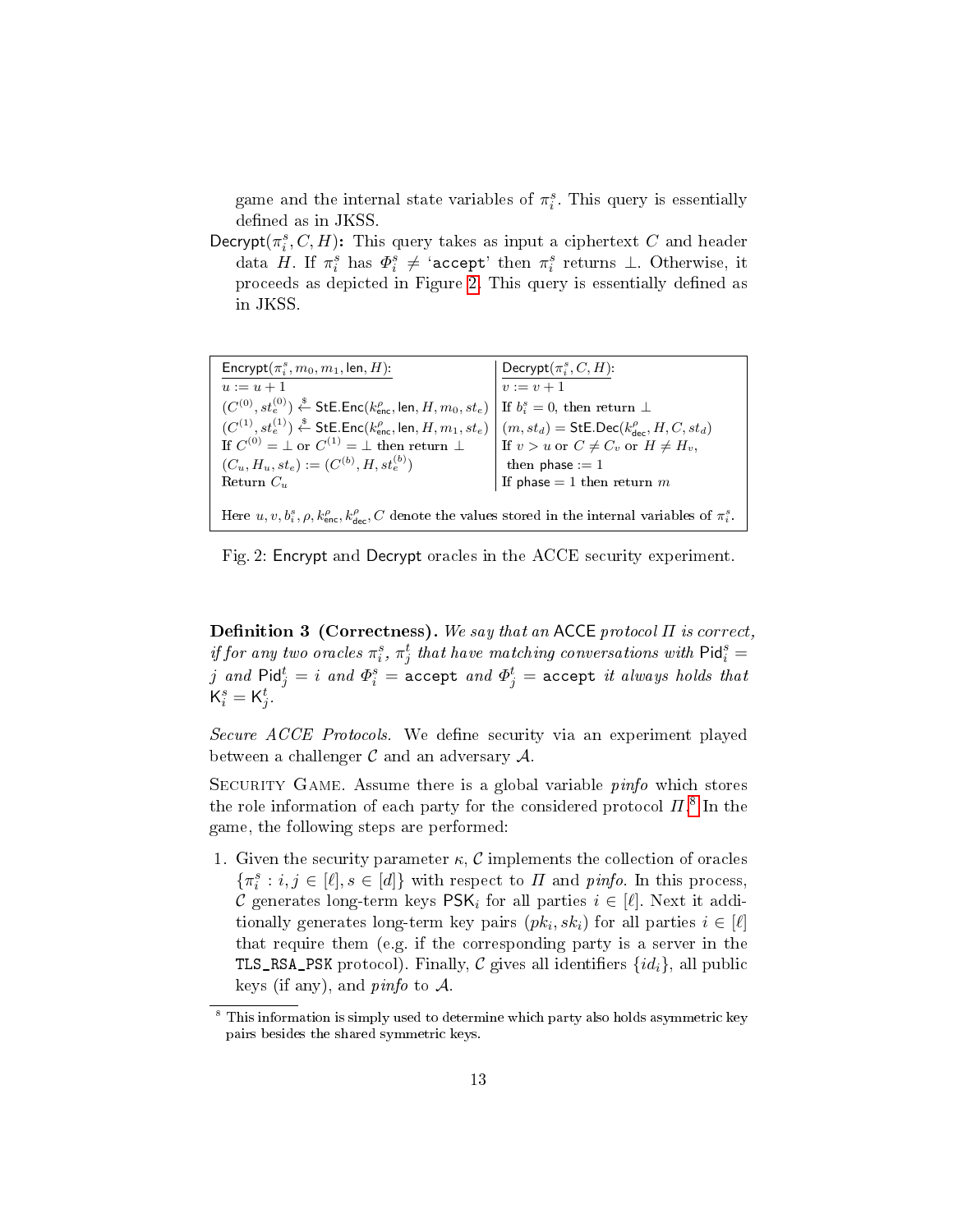game and the internal state variables of  $\pi_i^s$ . This query is essentially defined as in JKSS.

Decrypt( $\pi_i^s$ , C, H): This query takes as input a ciphertext C and header data H. If  $\pi_i^s$  has  $\Phi_i^s \neq$  'accept' then  $\pi_i^s$  returns  $\bot$ . Otherwise, it proceeds as depicted in Figure [2.](#page-12-0) This query is essentially defined as in JKSS.

<span id="page-12-0"></span>

| Encrypt $(\pi_i^s, m_0, m_1, \text{len}, H)$ :                                                                                                                                                                  | Decrypt $(\pi_i^s, C, H)$ :                  |  |  |
|-----------------------------------------------------------------------------------------------------------------------------------------------------------------------------------------------------------------|----------------------------------------------|--|--|
| $u := u + 1$                                                                                                                                                                                                    | $\overline{v:=v+1}$                          |  |  |
| $(C^{(0)}, st_e^{(0)}) \stackrel{\$}{\leftarrow}$ StE.Enc $(k_{\text{enc}}^{\rho}, \text{len}, H, m_0, st_e)$   If $b_i^s = 0$ , then return $\perp$                                                            |                                              |  |  |
| $(C^{(1)}, st_e^{(1)}) \overset{\$}{\leftarrow} \mathsf{StE}.\mathsf{Enc}(k_{\mathsf{enc}}^{\rho}, \mathsf{len}, H, m_1, st_e) \mid (m, st_d) = \mathsf{StE}.\mathsf{Dec}(k_{\mathsf{dec}}^{\rho}, H, C, st_d)$ |                                              |  |  |
| If $C^{(0)} = \perp$ or $C^{(1)} = \perp$ then return $\perp$                                                                                                                                                   | If $v > u$ or $C \neq C_v$ or $H \neq H_v$ , |  |  |
| $(C_u, H_u, st_e) := (C^{(b)}, H, st_e^{(b)})$                                                                                                                                                                  | then phase $:= 1$                            |  |  |
| Return $C_u$                                                                                                                                                                                                    | If phase = 1 then return $m$                 |  |  |
|                                                                                                                                                                                                                 |                                              |  |  |
| Here $u, v, b_i^s, \rho, k_{\text{enc}}^{\rho}, k_{\text{dec}}^{\rho}, C$ denote the values stored in the internal variables of $\pi_i^s$ .                                                                     |                                              |  |  |

Fig. 2: Encrypt and Decrypt oracles in the ACCE security experiment.

**Definition 3** (Correctness). We say that an ACCE protocol  $\Pi$  is correct, if for any two oracles  $\pi_i^s$ ,  $\pi_j^t$  that have matching conversations with  $\mathsf{Pid}_i^s =$ j and  $\operatorname{\sf Pid}^t_j=i$  and  $\varPhi^s_i=$  accept and  $\varPhi^t_j=$  accept it always holds that  $\mathsf{K}_i^s = \mathsf{K}_j^t$ .

Secure ACCE Protocols. We define security via an experiment played between a challenger  $\mathcal C$  and an adversary  $\mathcal A$ .

SECURITY GAME. Assume there is a global variable *pinfo* which stores the role information of each party for the considered protocol  $\pi$ <sup>[8](#page-12-1)</sup>. In the game, the following steps are performed:

1. Given the security parameter  $\kappa$ , C implements the collection of oracles  $\{\pi_i^s : i, j \in [\ell], s \in [d]\}$  with respect to  $\Pi$  and *pinfo*. In this process, C generates long-term keys  $PSK_i$  for all parties  $i \in [\ell]$ . Next it additionally generates long-term key pairs  $(pk_i, sk_i)$  for all parties  $i \in [\ell]$ that require them (e.g. if the corresponding party is a server in the **TLS\_RSA\_PSK** protocol). Finally, C gives all identifiers  $\{id_i\}$ , all public keys (if any), and *pinfo* to  $\mathcal{A}$ .

<span id="page-12-1"></span><sup>&</sup>lt;sup>8</sup> This information is simply used to determine which party also holds asymmetric key pairs besides the shared symmetric keys.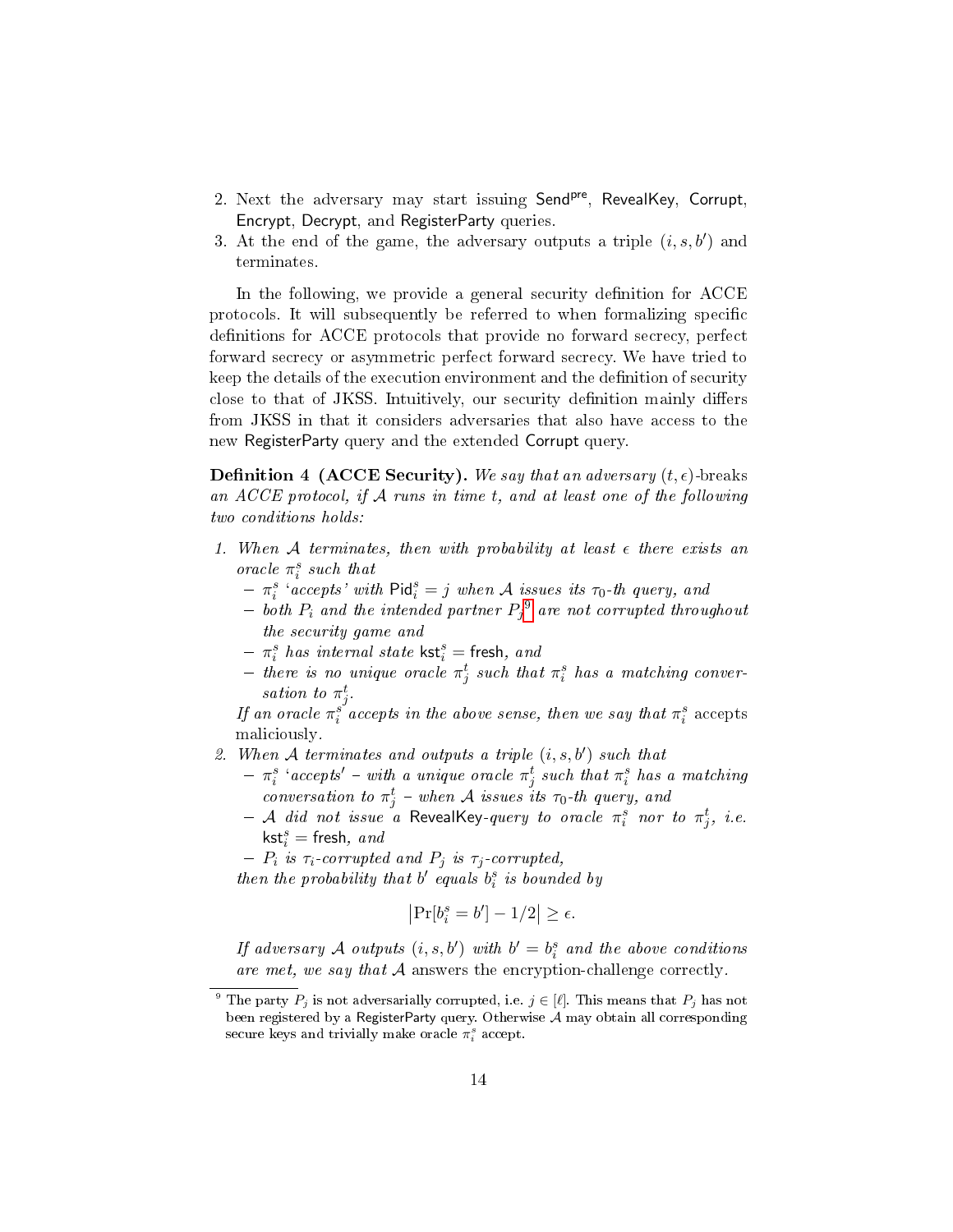- 2. Next the adversary may start issuing Send<sup>pre</sup>, RevealKey, Corrupt, Encrypt, Decrypt, and RegisterParty queries.
- 3. At the end of the game, the adversary outputs a triple  $(i, s, b')$  and terminates.

In the following, we provide a general security definition for ACCE protocols. It will subsequently be referred to when formalizing specific definitions for ACCE protocols that provide no forward secrecy, perfect forward secrecy or asymmetric perfect forward secrecy. We have tried to keep the details of the execution environment and the definition of security close to that of JKSS. Intuitively, our security definition mainly differs from JKSS in that it considers adversaries that also have access to the new RegisterParty query and the extended Corrupt query.

<span id="page-13-1"></span>**Definition 4 (ACCE Security).** We say that an adversary  $(t, \epsilon)$ -breaks an  $ACCE$  protocol, if  $A$  runs in time t, and at least one of the following two conditions holds:

- 1. When A terminates, then with probability at least  $\epsilon$  there exists an oracle  $\pi_i^s$  such that
	- $-\pi_i^s$  'accepts' with  $\mathsf{Pid}_i^s = j$  when A issues its  $\tau_0$ -th query, and
	- $-$  both  $P_i$  and the intended partner  $P_j{}^9$  $P_j{}^9$  are not corrupted throughout the security game and
	- $\pi_i^s$  has internal state kst $_i^s =$  fresh, and
	- $-$  there is no unique oracle  $\pi_j^t$  such that  $\pi_i^s$  has a matching conversation to  $\pi_j^t$ .

If an oracle  $\pi_i^s$  accepts in the above sense, then we say that  $\pi_i^s$  accepts maliciously.

- 2. When A terminates and outputs a triple  $(i, s, b')$  such that
	- $\pi_i^s$  'accepts' with a unique oracle  $\pi_j^t$  such that  $\pi_i^s$  has a matching conversation to  $\pi_j^t$  – when A issues its  $\tau_0$ -th query, and
	- $-$  A did not issue a RevealKey-query to oracle  $\pi_i^s$  nor to  $\pi_j^t$ , i.e.  $\mathsf{kst}_{i}^{s} = \mathsf{fresh}, \text{ and}$

 $-P_i$  is  $\tau_i$ -corrupted and  $P_j$  is  $\tau_j$ -corrupted,

then the probability that  $b'$  equals  $b_i^s$  is bounded by

$$
\left|\Pr[b_i^s = b'] - 1/2\right| \ge \epsilon.
$$

If adversary A outputs  $(i, s, b')$  with  $b' = b_i^s$  and the above conditions are met, we say that  $A$  answers the encryption-challenge correctly.

<span id="page-13-0"></span>The party  $P_j$  is not adversarially corrupted, i.e.  $j \in [\ell]$ . This means that  $P_j$  has not been registered by a RegisterParty query. Otherwise  $A$  may obtain all corresponding secure keys and trivially make oracle  $\pi_i^s$  accept.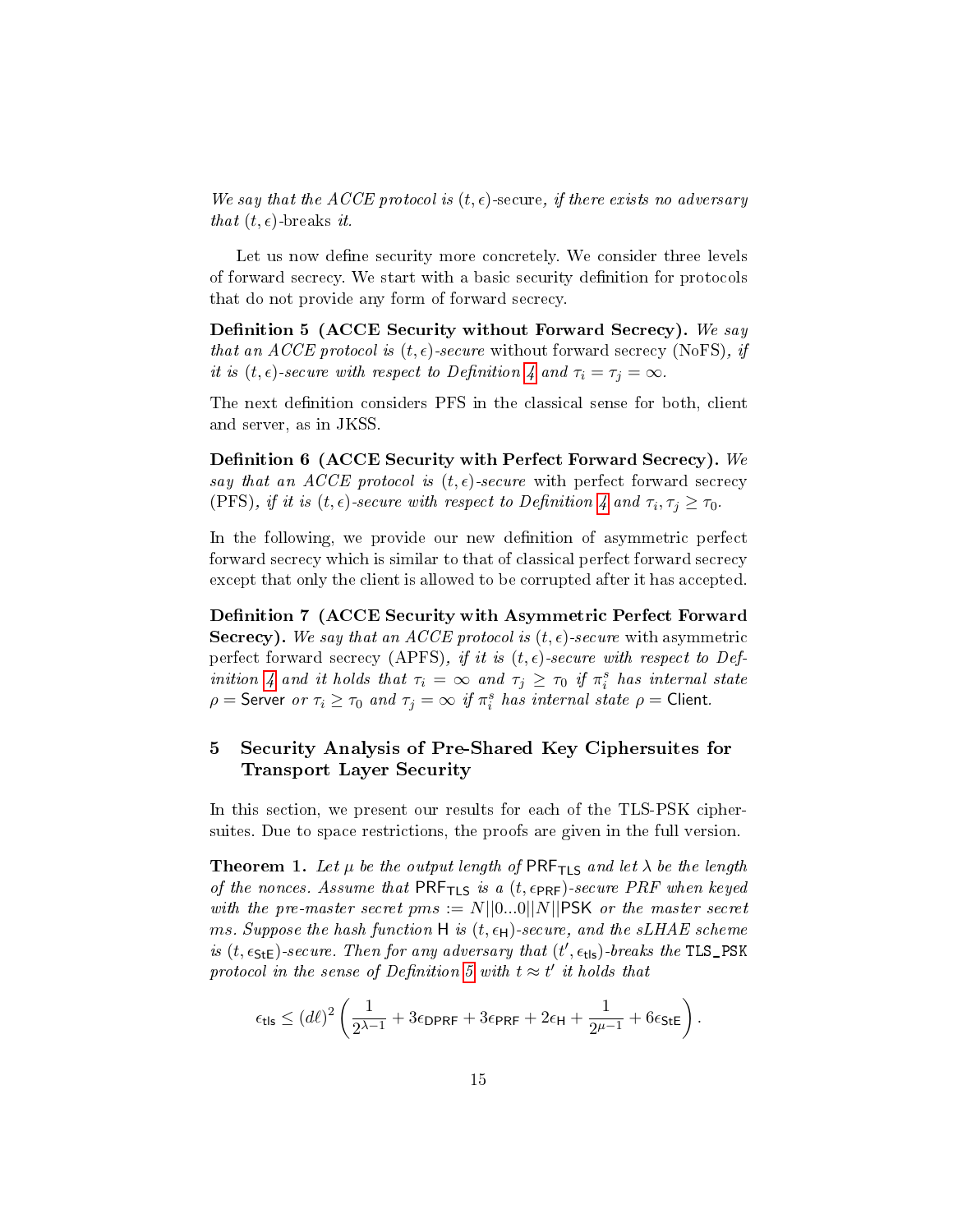We say that the ACCE protocol is  $(t, \epsilon)$ -secure, if there exists no adversary that  $(t, \epsilon)$ -breaks it.

<span id="page-14-0"></span>Let us now define security more concretely. We consider three levels of forward secrecy. We start with a basic security definition for protocols that do not provide any form of forward secrecy.

Definition 5 (ACCE Security without Forward Secrecy). We say that an ACCE protocol is  $(t, \epsilon)$ -secure without forward secrecy (NoFS), if it is  $(t, \epsilon)$ -secure with respect to Definition [4](#page-13-1) and  $\tau_i = \tau_j = \infty$ .

The next definition considers PFS in the classical sense for both, client and server, as in JKSS.

<span id="page-14-1"></span>Definition 6 (ACCE Security with Perfect Forward Secrecy). We say that an ACCE protocol is  $(t, \epsilon)$ -secure with perfect forward secrecy (PFS), if it is  $(t, \epsilon)$ -secure with respect to Definition [4](#page-13-1) and  $\tau_i, \tau_j \geq \tau_0$ .

In the following, we provide our new definition of asymmetric perfect forward secrecy which is similar to that of classical perfect forward secrecy except that only the client is allowed to be corrupted after it has accepted.

<span id="page-14-2"></span>Definition 7 (ACCE Security with Asymmetric Perfect Forward **Secrecy).** We say that an ACCE protocol is  $(t, \epsilon)$ -secure with asymmetric perfect forward secrecy (APFS), if it is  $(t, \epsilon)$ -secure with respect to Def-inition [4](#page-13-1) and it holds that  $\tau_i = \infty$  and  $\tau_j \geq \tau_0$  if  $\pi_i^s$  has internal state  $\rho =$  Server or  $\tau_i \ge \tau_0$  and  $\tau_j = \infty$  if  $\pi_i^s$  has internal state  $\rho =$  Client.

## 5 Security Analysis of Pre-Shared Key Ciphersuites for Transport Layer Security

In this section, we present our results for each of the TLS-PSK ciphersuites. Due to space restrictions, the proofs are given in the full version.

**Theorem 1.** Let  $\mu$  be the output length of PRF<sub>TLS</sub> and let  $\lambda$  be the length of the nonces. Assume that  $\mathsf{PRF}_{\mathsf{TLS}}$  is a  $(t, \epsilon_{\mathsf{PRF}})$ -secure  $\mathsf{PRF}$  when keyed with the pre-master secret pms  $:= N||0...0||N||$  PSK or the master secret ms. Suppose the hash function  $H$  is  $(t, \epsilon_H)$ -secure, and the sLHAE scheme is  $(t, \epsilon_{\mathsf{StE}})$ -secure. Then for any adversary that  $(t', \epsilon_{\mathsf{tls}})$ -breaks the TLS\_PSK protocol in the sense of Definition [5](#page-14-0) with  $t \approx t'$  it holds that

$$
\epsilon_{\text{tls}} \leq (d\ell)^2 \left( \frac{1}{2^{\lambda-1}} + 3 \epsilon_{\text{DPRF}} + 3 \epsilon_{\text{PRF}} + 2 \epsilon_{\text{H}} + \frac{1}{2^{\mu-1}} + 6 \epsilon_{\text{StE}} \right).
$$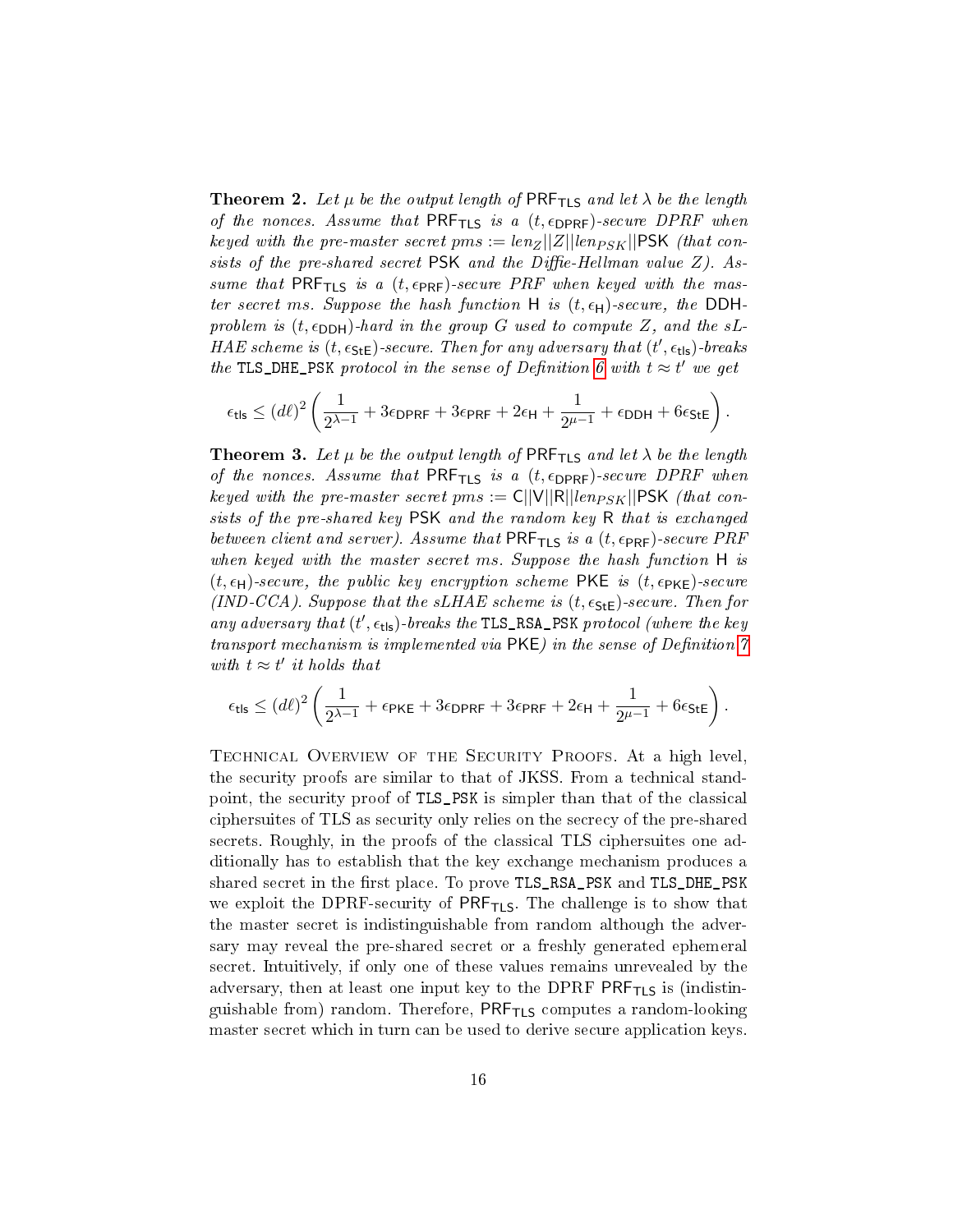**Theorem 2.** Let  $\mu$  be the output length of PRF<sub>TLS</sub> and let  $\lambda$  be the length of the nonces. Assume that PRF<sub>TLS</sub> is a  $(t, \epsilon_{\text{DPRF}})$ -secure DPRF when keyed with the pre-master secret  $pms := \lfloor \frac{en_Z}{Z} \rfloor \lfloor \frac{en_{PSK}}{Pen_{PSK}} \rfloor$  (that consists of the pre-shared secret  $PSK$  and the Diffie-Hellman value  $Z$ ). Assume that  $PRF_{TLS}$  is a  $(t, \epsilon_{PRF})$ -secure  $PRF$  when keyed with the master secret ms. Suppose the hash function H is  $(t, \epsilon_H)$ -secure, the DDHproblem is  $(t, \epsilon_{\text{DDH}})$ -hard in the group G used to compute Z, and the sL-HAE scheme is  $(t, \epsilon_{\textsf{StE}})$ -secure. Then for any adversary that  $(t', \epsilon_{\textsf{tls}})$ -breaks the TLS\_DHE\_PSK protocol in the sense of Definition [6](#page-14-1) with  $t \approx t'$  we get

$$
\epsilon_{\text{tls}} \leq (d\ell)^2 \left( \frac{1}{2^{\lambda-1}} + 3 \epsilon_{\text{DPRF}} + 3 \epsilon_{\text{PRF}} + 2 \epsilon_{\text{H}} + \frac{1}{2^{\mu-1}} + \epsilon_{\text{DDH}} + 6 \epsilon_{\text{StE}} \right).
$$

**Theorem 3.** Let  $\mu$  be the output length of PRF<sub>TLS</sub> and let  $\lambda$  be the length of the nonces. Assume that PRF<sub>TLS</sub> is a  $(t, \epsilon_{\text{DPRF}})$ -secure DPRF when keyed with the pre-master secret pms  $:= C||V||R|| \text{le} n_{PSK}||PSK$  (that consists of the pre-shared key PSK and the random key R that is exchanged between client and server). Assume that  $\mathsf{PRF}_{\mathsf{TLS}}$  is a  $(t, \epsilon_{\mathsf{PRF}})$ -secure  $\mathsf{PRF}$ when keyed with the master secret ms. Suppose the hash function H is  $(t, \epsilon_H)$ -secure, the public key encryption scheme PKE is  $(t, \epsilon_{PKE})$ -secure (IND-CCA). Suppose that the sLHAE scheme is  $(t, \epsilon_{\mathsf{StE}})$ -secure. Then for any adversary that  $(t', \epsilon_{\text{tls}})$ -breaks the TLS\_RSA\_PSK protocol (where the key transport mechanism is implemented via  $PKE$ ) in the sense of Definition [7](#page-14-2) with  $t \approx t'$  it holds that

$$
\epsilon_{\text{tls}} \leq (d\ell)^2 \left( \frac{1}{2^{\lambda-1}} + \epsilon_{\text{PKE}} + 3 \epsilon_{\text{DPRF}} + 3 \epsilon_{\text{PRF}} + 2 \epsilon_{\text{H}} + \frac{1}{2^{\mu-1}} + 6 \epsilon_{\text{StE}} \right).
$$

Technical Overview of the Security Proofs. At a high level, the security proofs are similar to that of JKSS. From a technical standpoint, the security proof of TLS\_PSK is simpler than that of the classical ciphersuites of TLS as security only relies on the secrecy of the pre-shared secrets. Roughly, in the proofs of the classical TLS ciphersuites one additionally has to establish that the key exchange mechanism produces a shared secret in the first place. To prove TLS\_RSA\_PSK and TLS\_DHE\_PSK we exploit the DPRF-security of PRF<sub>TLS</sub>. The challenge is to show that the master secret is indistinguishable from random although the adversary may reveal the pre-shared secret or a freshly generated ephemeral secret. Intuitively, if only one of these values remains unrevealed by the adversary, then at least one input key to the DPRF PRF $_{\text{TLS}}$  is (indistinguishable from) random. Therefore,  $PRF_{TLS}$  computes a random-looking master secret which in turn can be used to derive secure application keys.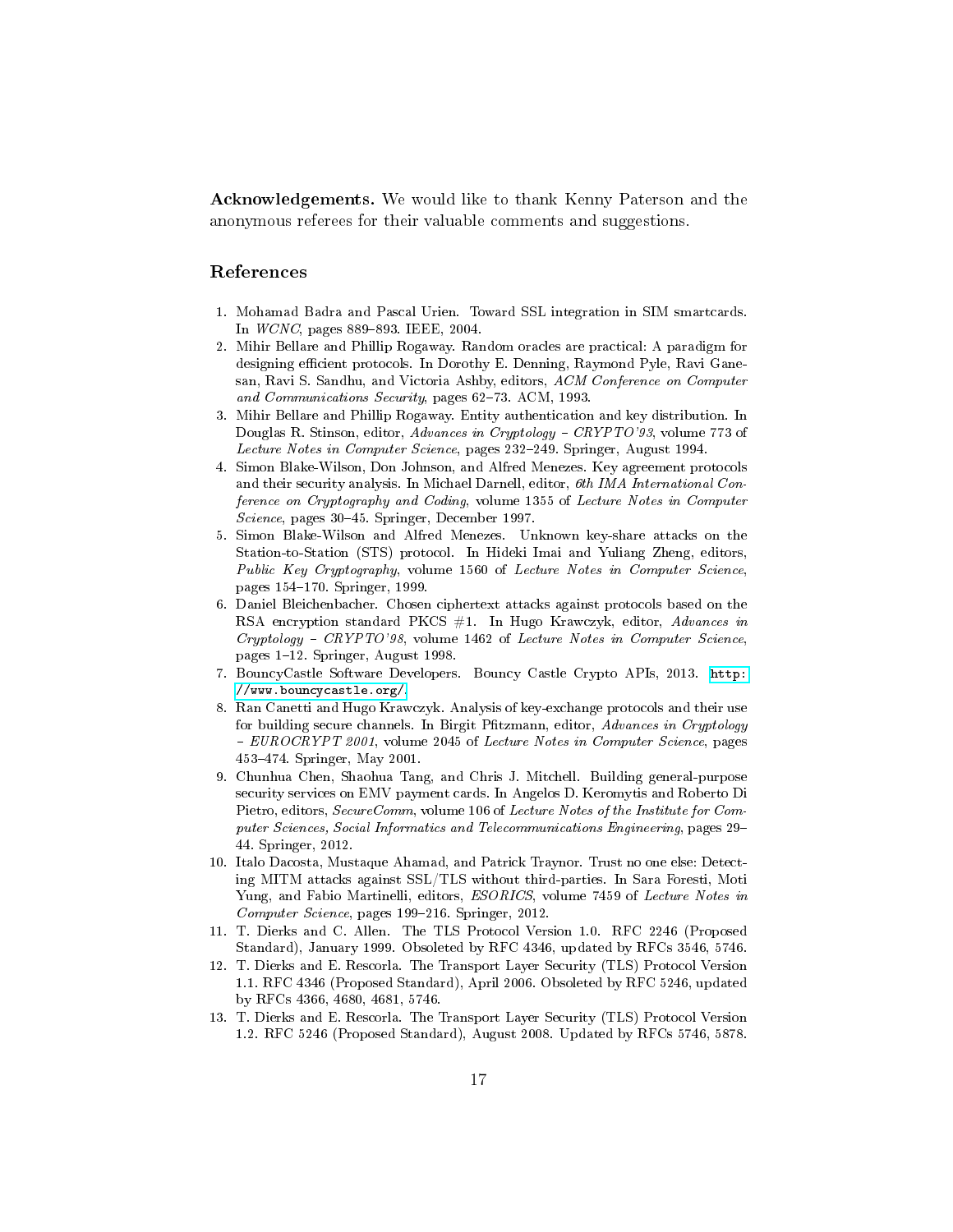Acknowledgements. We would like to thank Kenny Paterson and the anonymous referees for their valuable comments and suggestions.

### References

- <span id="page-16-0"></span>1. Mohamad Badra and Pascal Urien. Toward SSL integration in SIM smartcards. In  $WCNC$ , pages 889-893. IEEE, 2004.
- <span id="page-16-5"></span>2. Mihir Bellare and Phillip Rogaway. Random oracles are practical: A paradigm for designing efficient protocols. In Dorothy E. Denning, Raymond Pyle, Ravi Ganesan, Ravi S. Sandhu, and Victoria Ashby, editors, ACM Conference on Computer and Communications Security, pages 62-73. ACM, 1993.
- <span id="page-16-4"></span>3. Mihir Bellare and Phillip Rogaway. Entity authentication and key distribution. In Douglas R. Stinson, editor, Advances in Cryptology - CRYPTO'93, volume 773 of Lecture Notes in Computer Science, pages 232-249. Springer, August 1994.
- <span id="page-16-11"></span>4. Simon Blake-Wilson, Don Johnson, and Alfred Menezes. Key agreement protocols and their security analysis. In Michael Darnell, editor, 6th IMA International Conference on Cryptography and Coding, volume 1355 of Lecture Notes in Computer Science, pages 30-45. Springer, December 1997.
- <span id="page-16-10"></span>5. Simon Blake-Wilson and Alfred Menezes. Unknown key-share attacks on the Station-to-Station (STS) protocol. In Hideki Imai and Yuliang Zheng, editors, Public Key Cryptography, volume 1560 of Lecture Notes in Computer Science, pages 154-170. Springer, 1999.
- <span id="page-16-2"></span>6. Daniel Bleichenbacher. Chosen ciphertext attacks against protocols based on the RSA encryption standard PKCS #1. In Hugo Krawczyk, editor, Advances in  $Cryptography - CRYPTO'98$ , volume 1462 of Lecture Notes in Computer Science, pages 1-12. Springer, August 1998.
- <span id="page-16-1"></span>7. BouncyCastle Software Developers. Bouncy Castle Crypto APIs, 2013. [http:](http://www.bouncycastle.org/) [//www.bouncycastle.org/.](http://www.bouncycastle.org/)
- <span id="page-16-12"></span>8. Ran Canetti and Hugo Krawczyk. Analysis of key-exchange protocols and their use for building secure channels. In Birgit Pfitzmann, editor, Advances in Cryptology - EUROCRYPT 2001, volume 2045 of Lecture Notes in Computer Science, pages 453474. Springer, May 2001.
- <span id="page-16-9"></span>9. Chunhua Chen, Shaohua Tang, and Chris J. Mitchell. Building general-purpose security services on EMV payment cards. In Angelos D. Keromytis and Roberto Di Pietro, editors, SecureComm, volume 106 of Lecture Notes of the Institute for Computer Sciences, Social Informatics and Telecommunications Engineering, pages 29 44. Springer, 2012.
- <span id="page-16-3"></span>10. Italo Dacosta, Mustaque Ahamad, and Patrick Traynor. Trust no one else: Detecting MITM attacks against SSL/TLS without third-parties. In Sara Foresti, Moti Yung, and Fabio Martinelli, editors, ESORICS, volume 7459 of Lecture Notes in Computer Science, pages 199-216. Springer, 2012.
- <span id="page-16-6"></span>11. T. Dierks and C. Allen. The TLS Protocol Version 1.0. RFC 2246 (Proposed Standard), January 1999. Obsoleted by RFC 4346, updated by RFCs 3546, 5746.
- <span id="page-16-7"></span>12. T. Dierks and E. Rescorla. The Transport Layer Security (TLS) Protocol Version 1.1. RFC 4346 (Proposed Standard), April 2006. Obsoleted by RFC 5246, updated by RFCs 4366, 4680, 4681, 5746.
- <span id="page-16-8"></span>13. T. Dierks and E. Rescorla. The Transport Layer Security (TLS) Protocol Version 1.2. RFC 5246 (Proposed Standard), August 2008. Updated by RFCs 5746, 5878.